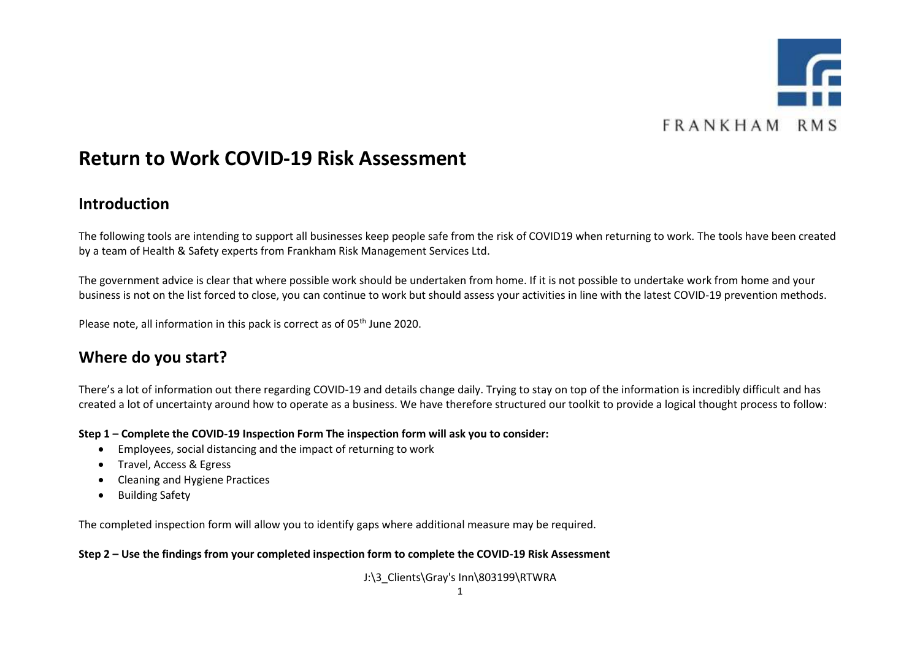

### **Return to Work COVID-19 Risk Assessment**

#### **Introduction**

The following tools are intending to support all businesses keep people safe from the risk of COVID19 when returning to work. The tools have been created by a team of Health & Safety experts from Frankham Risk Management Services Ltd.

The government advice is clear that where possible work should be undertaken from home. If it is not possible to undertake work from home and your business is not on the list forced to close, you can continue to work but should assess your activities in line with the latest COVID-19 prevention methods.

Please note, all information in this pack is correct as of 05<sup>th</sup> June 2020.

#### **Where do you start?**

There's a lot of information out there regarding COVID-19 and details change daily. Trying to stay on top of the information is incredibly difficult and has created a lot of uncertainty around how to operate as a business. We have therefore structured our toolkit to provide a logical thought process to follow:

**Step 1 – Complete the COVID-19 Inspection Form The inspection form will ask you to consider:**

- Employees, social distancing and the impact of returning to work
- Travel, Access & Egress
- Cleaning and Hygiene Practices
- Building Safety

The completed inspection form will allow you to identify gaps where additional measure may be required.

**Step 2 – Use the findings from your completed inspection form to complete the COVID-19 Risk Assessment**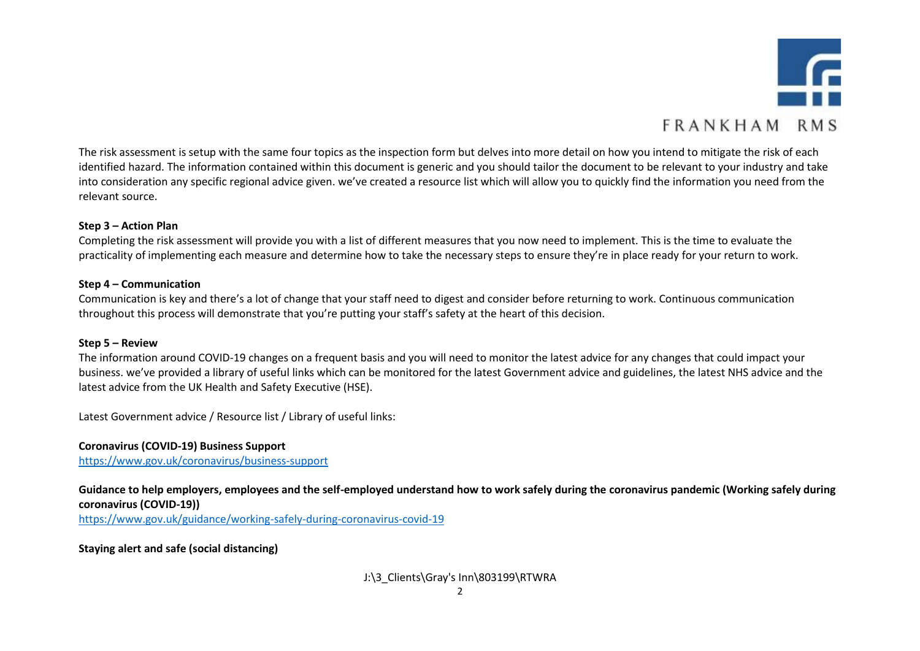

The risk assessment is setup with the same four topics as the inspection form but delves into more detail on how you intend to mitigate the risk of each identified hazard. The information contained within this document is generic and you should tailor the document to be relevant to your industry and take into consideration any specific regional advice given. we've created a resource list which will allow you to quickly find the information you need from the relevant source.

#### **Step 3 – Action Plan**

Completing the risk assessment will provide you with a list of different measures that you now need to implement. This is the time to evaluate the practicality of implementing each measure and determine how to take the necessary steps to ensure they're in place ready for your return to work.

#### **Step 4 – Communication**

Communication is key and there's a lot of change that your staff need to digest and consider before returning to work. Continuous communication throughout this process will demonstrate that you're putting your staff's safety at the heart of this decision.

#### **Step 5 – Review**

The information around COVID-19 changes on a frequent basis and you will need to monitor the latest advice for any changes that could impact your business. we've provided a library of useful links which can be monitored for the latest Government advice and guidelines, the latest NHS advice and the latest advice from the UK Health and Safety Executive (HSE).

Latest Government advice / Resource list / Library of useful links:

**Coronavirus (COVID-19) Business Support** <https://www.gov.uk/coronavirus/business-support>

**Guidance to help employers, employees and the self-employed understand how to work safely during the coronavirus pandemic (Working safely during coronavirus (COVID-19))**

<https://www.gov.uk/guidance/working-safely-during-coronavirus-covid-19>

**Staying alert and safe (social distancing)**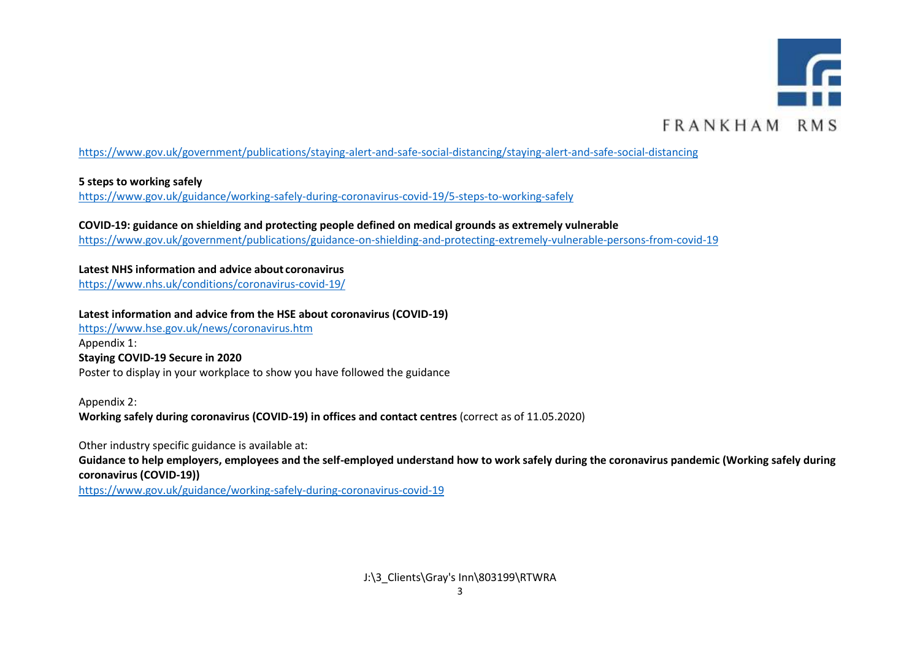

#### <https://www.gov.uk/government/publications/staying-alert-and-safe-social-distancing/staying-alert-and-safe-social-distancing>

#### **5 steps to working safely**

<https://www.gov.uk/guidance/working-safely-during-coronavirus-covid-19/5-steps-to-working-safely>

**COVID-19: guidance on shielding and protecting people defined on medical grounds as extremely vulnerable** <https://www.gov.uk/government/publications/guidance-on-shielding-and-protecting-extremely-vulnerable-persons-from-covid-19>

**Latest NHS information and advice about coronavirus** <https://www.nhs.uk/conditions/coronavirus-covid-19/>

**Latest information and advice from the HSE about coronavirus (COVID-19)**

<https://www.hse.gov.uk/news/coronavirus.htm>

Appendix 1:

**[Staying COVID-19 Secure in 2020](https://assets.publishing.service.gov.uk/media/5eb97d30d3bf7f5d364bfbb6/staying-covid-19-secure-accessible.pdf)**

Poster to display in your workplace to show you have followed the guidance

Appendix 2: **[Working safely during coronavirus \(COVID-19\) in offices and contact centres](https://assets.publishing.service.gov.uk/media/5eb97e7686650c278d4496ea/working-safely-during-covid-19-offices-contact-centres-240520.pdf)** (correct as of 11.05.2020)

Other industry specific guidance is available at: **Guidance to help employers, employees and the self-employed understand how to work safely during the coronavirus pandemic (Working safely during coronavirus (COVID-19))**

<https://www.gov.uk/guidance/working-safely-during-coronavirus-covid-19>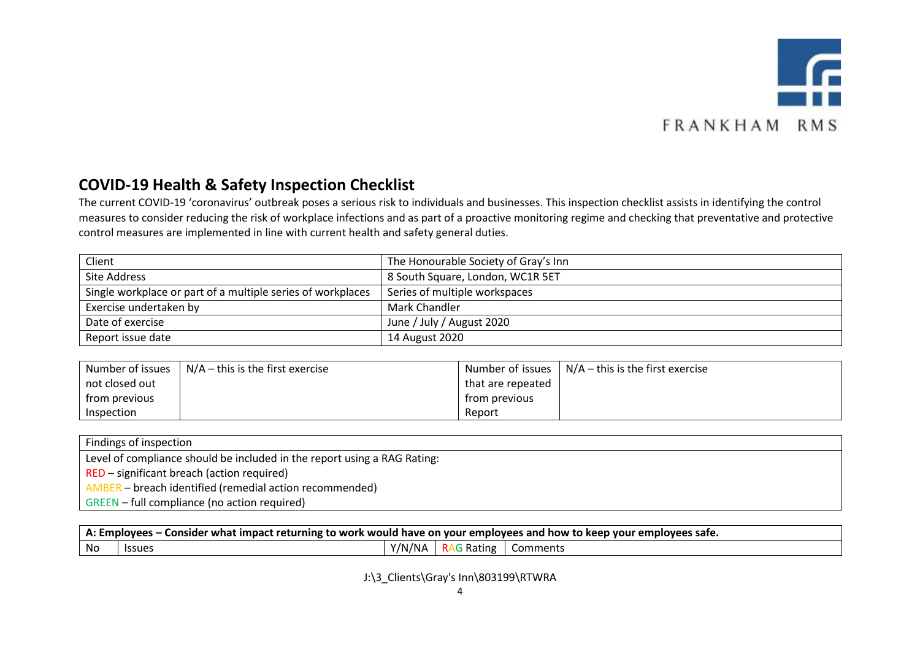

#### **COVID-19 Health & Safety Inspection Checklist**

The current COVID-19 'coronavirus' outbreak poses a serious risk to individuals and businesses. This inspection checklist assists in identifying the control measures to consider reducing the risk of workplace infections and as part of a proactive monitoring regime and checking that preventative and protective control measures are implemented in line with current health and safety general duties.

| Client                                                      | The Honourable Society of Gray's Inn |
|-------------------------------------------------------------|--------------------------------------|
| Site Address                                                | 8 South Square, London, WC1R 5ET     |
| Single workplace or part of a multiple series of workplaces | Series of multiple workspaces        |
| Exercise undertaken by                                      | Mark Chandler                        |
| Date of exercise                                            | June / July / August 2020            |
| Report issue date                                           | 14 August 2020                       |

| Number of issues | $N/A$ – this is the first exercise |                   | Number of issues $\mid N/A -$ this is the first exercise |
|------------------|------------------------------------|-------------------|----------------------------------------------------------|
| not closed out   |                                    | that are repeated |                                                          |
| from previous    |                                    | trom previous     |                                                          |
| Inspection       |                                    | Report            |                                                          |

| Findings of inspection                                                   |
|--------------------------------------------------------------------------|
| Level of compliance should be included in the report using a RAG Rating: |
| RED – significant breach (action required)                               |
| AMBER – breach identified (remedial action recommended)                  |
| GREEN – full compliance (no action required)                             |

| Consider what impact returning to work would have on your employees and how to keep your employees safe.<br>A: Employees $-$ |        |                |                |          |  |
|------------------------------------------------------------------------------------------------------------------------------|--------|----------------|----------------|----------|--|
| No                                                                                                                           | lssues | /NA<br>$V/N_L$ | i Rating<br>RA | Comments |  |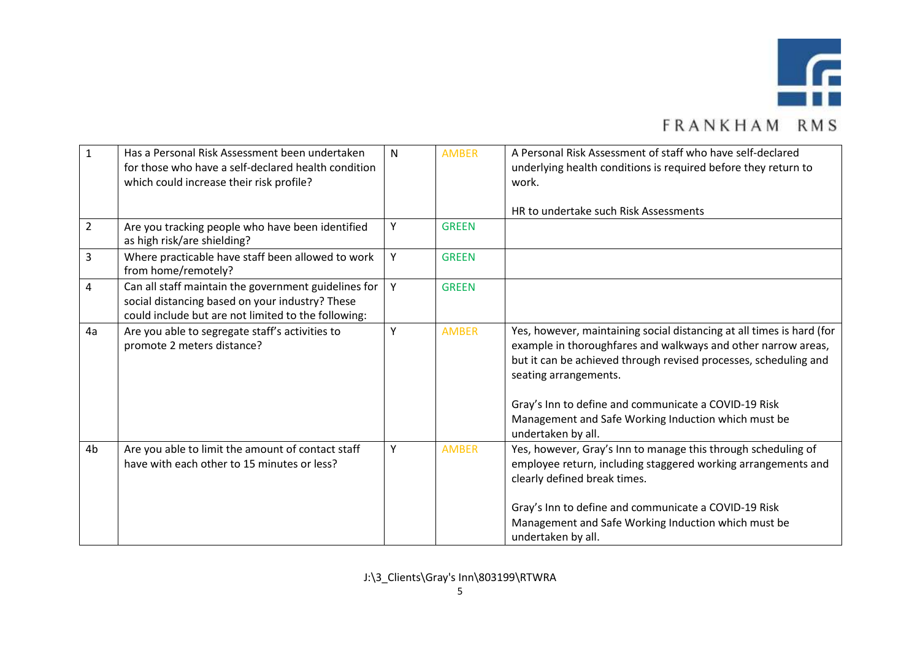

|                | Has a Personal Risk Assessment been undertaken       |   | <b>AMBER</b> | A Personal Risk Assessment of staff who have self-declared            |
|----------------|------------------------------------------------------|---|--------------|-----------------------------------------------------------------------|
|                |                                                      | N |              |                                                                       |
|                | for those who have a self-declared health condition  |   |              | underlying health conditions is required before they return to        |
|                | which could increase their risk profile?             |   |              | work.                                                                 |
|                |                                                      |   |              |                                                                       |
|                |                                                      |   |              | HR to undertake such Risk Assessments                                 |
| $\overline{2}$ | Are you tracking people who have been identified     | Υ | <b>GREEN</b> |                                                                       |
|                | as high risk/are shielding?                          |   |              |                                                                       |
| 3              | Where practicable have staff been allowed to work    | Y | <b>GREEN</b> |                                                                       |
|                | from home/remotely?                                  |   |              |                                                                       |
| 4              | Can all staff maintain the government guidelines for | Y | <b>GREEN</b> |                                                                       |
|                | social distancing based on your industry? These      |   |              |                                                                       |
|                | could include but are not limited to the following:  |   |              |                                                                       |
| 4a             | Are you able to segregate staff's activities to      | Υ | <b>AMBER</b> | Yes, however, maintaining social distancing at all times is hard (for |
|                | promote 2 meters distance?                           |   |              | example in thoroughfares and walkways and other narrow areas,         |
|                |                                                      |   |              | but it can be achieved through revised processes, scheduling and      |
|                |                                                      |   |              | seating arrangements.                                                 |
|                |                                                      |   |              |                                                                       |
|                |                                                      |   |              | Gray's Inn to define and communicate a COVID-19 Risk                  |
|                |                                                      |   |              | Management and Safe Working Induction which must be                   |
|                |                                                      |   |              | undertaken by all.                                                    |
| 4b             | Are you able to limit the amount of contact staff    | Y | <b>AMBER</b> | Yes, however, Gray's Inn to manage this through scheduling of         |
|                |                                                      |   |              |                                                                       |
|                | have with each other to 15 minutes or less?          |   |              | employee return, including staggered working arrangements and         |
|                |                                                      |   |              | clearly defined break times.                                          |
|                |                                                      |   |              |                                                                       |
|                |                                                      |   |              | Gray's Inn to define and communicate a COVID-19 Risk                  |
|                |                                                      |   |              | Management and Safe Working Induction which must be                   |
|                |                                                      |   |              | undertaken by all.                                                    |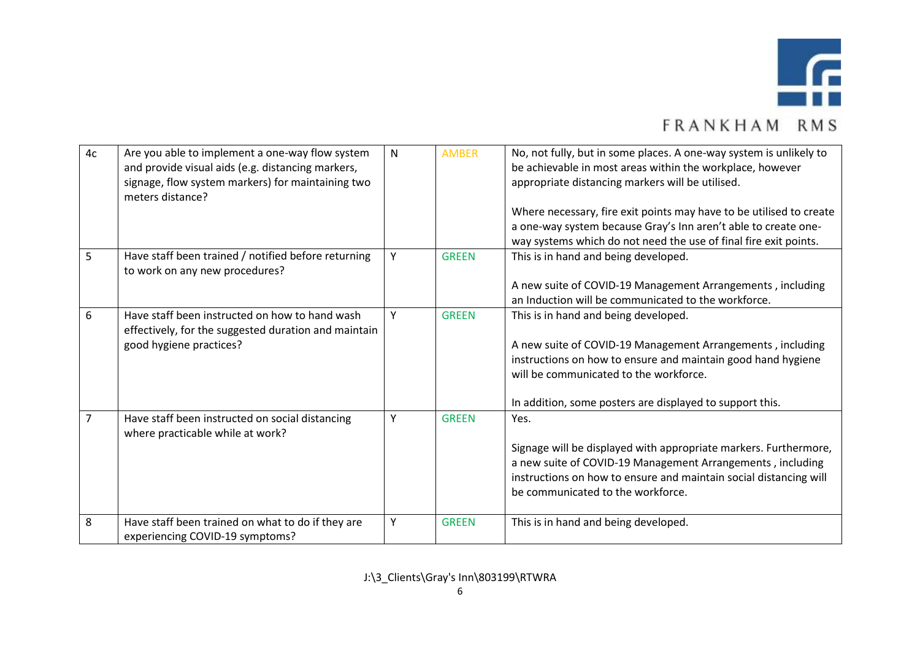

| 4c | Are you able to implement a one-way flow system<br>and provide visual aids (e.g. distancing markers,<br>signage, flow system markers) for maintaining two<br>meters distance? | $\mathsf{N}$ | <b>AMBER</b> | No, not fully, but in some places. A one-way system is unlikely to<br>be achievable in most areas within the workplace, however<br>appropriate distancing markers will be utilised.<br>Where necessary, fire exit points may have to be utilised to create<br>a one-way system because Gray's Inn aren't able to create one-<br>way systems which do not need the use of final fire exit points. |
|----|-------------------------------------------------------------------------------------------------------------------------------------------------------------------------------|--------------|--------------|--------------------------------------------------------------------------------------------------------------------------------------------------------------------------------------------------------------------------------------------------------------------------------------------------------------------------------------------------------------------------------------------------|
| 5  | Have staff been trained / notified before returning<br>to work on any new procedures?                                                                                         | Y            | <b>GREEN</b> | This is in hand and being developed.<br>A new suite of COVID-19 Management Arrangements, including<br>an Induction will be communicated to the workforce.                                                                                                                                                                                                                                        |
| 6  | Have staff been instructed on how to hand wash<br>effectively, for the suggested duration and maintain<br>good hygiene practices?                                             | Y            | <b>GREEN</b> | This is in hand and being developed.<br>A new suite of COVID-19 Management Arrangements, including<br>instructions on how to ensure and maintain good hand hygiene<br>will be communicated to the workforce.<br>In addition, some posters are displayed to support this.                                                                                                                         |
| 7  | Have staff been instructed on social distancing<br>where practicable while at work?                                                                                           | Y            | <b>GREEN</b> | Yes.<br>Signage will be displayed with appropriate markers. Furthermore,<br>a new suite of COVID-19 Management Arrangements, including<br>instructions on how to ensure and maintain social distancing will<br>be communicated to the workforce.                                                                                                                                                 |
| 8  | Have staff been trained on what to do if they are<br>experiencing COVID-19 symptoms?                                                                                          | Y            | <b>GREEN</b> | This is in hand and being developed.                                                                                                                                                                                                                                                                                                                                                             |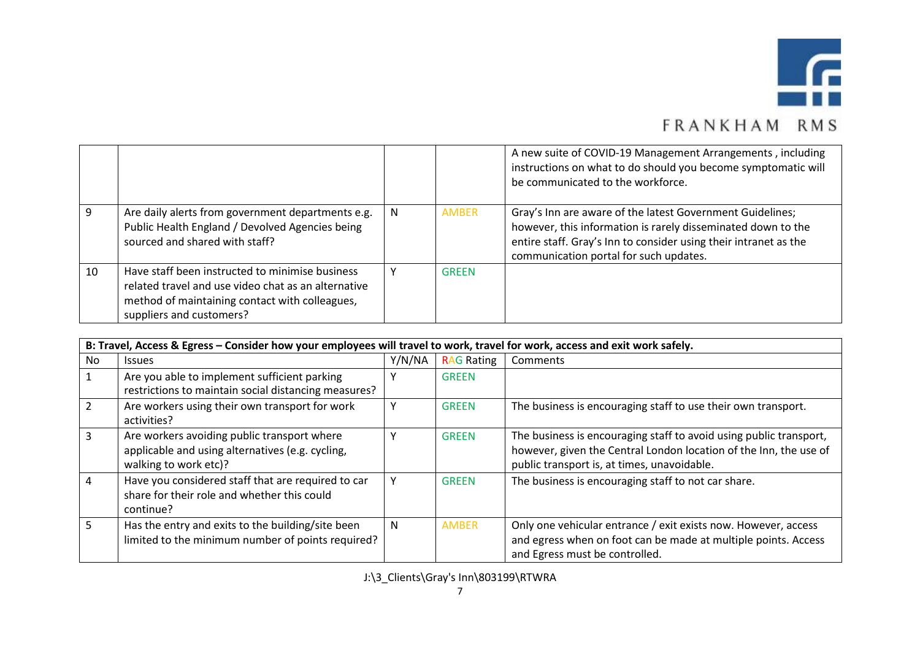

|    |                                                                                                                                                                                      |   |              | A new suite of COVID-19 Management Arrangements, including<br>instructions on what to do should you become symptomatic will<br>be communicated to the workforce.                                                                        |
|----|--------------------------------------------------------------------------------------------------------------------------------------------------------------------------------------|---|--------------|-----------------------------------------------------------------------------------------------------------------------------------------------------------------------------------------------------------------------------------------|
|    | Are daily alerts from government departments e.g.<br>Public Health England / Devolved Agencies being<br>sourced and shared with staff?                                               | N | <b>AMBER</b> | Gray's Inn are aware of the latest Government Guidelines;<br>however, this information is rarely disseminated down to the<br>entire staff. Gray's Inn to consider using their intranet as the<br>communication portal for such updates. |
| 10 | Have staff been instructed to minimise business<br>related travel and use video chat as an alternative<br>method of maintaining contact with colleagues,<br>suppliers and customers? |   | <b>GREEN</b> |                                                                                                                                                                                                                                         |

|               | B: Travel, Access & Egress – Consider how your employees will travel to work, travel for work, access and exit work safely. |        |                   |                                                                                                                                                                                        |  |  |  |
|---------------|-----------------------------------------------------------------------------------------------------------------------------|--------|-------------------|----------------------------------------------------------------------------------------------------------------------------------------------------------------------------------------|--|--|--|
| No.           | <b>Issues</b>                                                                                                               | Y/N/NA | <b>RAG Rating</b> | Comments                                                                                                                                                                               |  |  |  |
|               | Are you able to implement sufficient parking<br>restrictions to maintain social distancing measures?                        |        | <b>GREEN</b>      |                                                                                                                                                                                        |  |  |  |
| $\mathcal{L}$ | Are workers using their own transport for work<br>activities?                                                               |        | <b>GREEN</b>      | The business is encouraging staff to use their own transport.                                                                                                                          |  |  |  |
| 3             | Are workers avoiding public transport where<br>applicable and using alternatives (e.g. cycling,<br>walking to work etc)?    |        | <b>GREEN</b>      | The business is encouraging staff to avoid using public transport,<br>however, given the Central London location of the Inn, the use of<br>public transport is, at times, unavoidable. |  |  |  |
| 4             | Have you considered staff that are required to car<br>share for their role and whether this could<br>continue?              |        | <b>GREEN</b>      | The business is encouraging staff to not car share.                                                                                                                                    |  |  |  |
| 5             | Has the entry and exits to the building/site been<br>limited to the minimum number of points required?                      | N      | <b>AMBER</b>      | Only one vehicular entrance / exit exists now. However, access<br>and egress when on foot can be made at multiple points. Access<br>and Egress must be controlled.                     |  |  |  |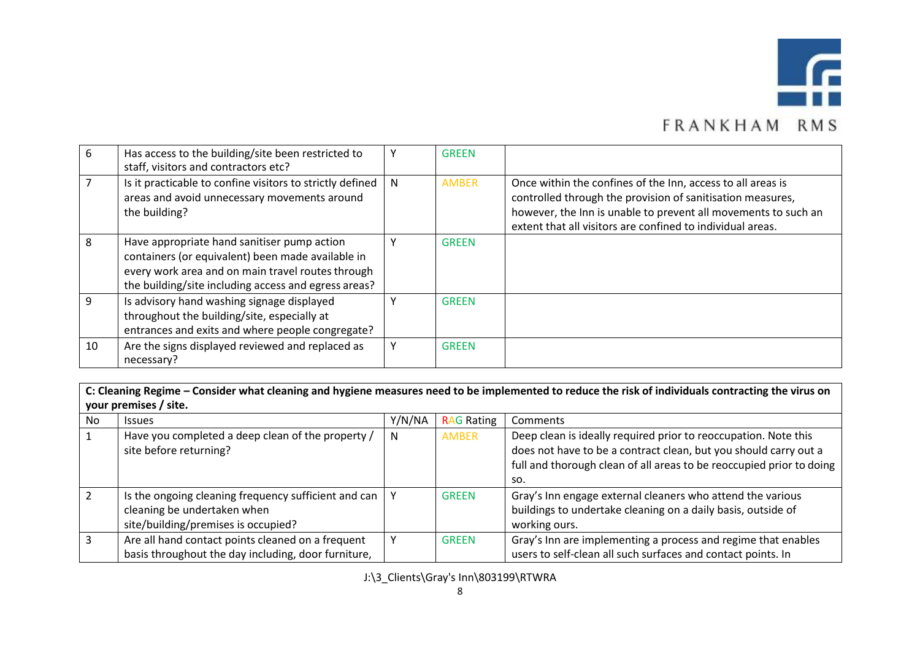

| 6  | Has access to the building/site been restricted to<br>staff, visitors and contractors etc?                                                                                                                    |   | <b>GREEN</b> |                                                                                                                                                                                                                                                           |
|----|---------------------------------------------------------------------------------------------------------------------------------------------------------------------------------------------------------------|---|--------------|-----------------------------------------------------------------------------------------------------------------------------------------------------------------------------------------------------------------------------------------------------------|
|    | Is it practicable to confine visitors to strictly defined<br>areas and avoid unnecessary movements around<br>the building?                                                                                    | N | <b>AMBER</b> | Once within the confines of the Inn, access to all areas is<br>controlled through the provision of sanitisation measures,<br>however, the Inn is unable to prevent all movements to such an<br>extent that all visitors are confined to individual areas. |
| 8  | Have appropriate hand sanitiser pump action<br>containers (or equivalent) been made available in<br>every work area and on main travel routes through<br>the building/site including access and egress areas? |   | <b>GREEN</b> |                                                                                                                                                                                                                                                           |
| q  | Is advisory hand washing signage displayed<br>throughout the building/site, especially at<br>entrances and exits and where people congregate?                                                                 |   | <b>GREEN</b> |                                                                                                                                                                                                                                                           |
| 10 | Are the signs displayed reviewed and replaced as<br>necessary?                                                                                                                                                |   | <b>GREEN</b> |                                                                                                                                                                                                                                                           |

**C: Cleaning Regime – Consider what cleaning and hygiene measures need to be implemented to reduce the risk of individuals contracting the virus on your premises / site.**

| No | <b>Issues</b>                                                                                                              | Y/N/NA | <b>RAG Rating</b> | Comments                                                                                                                                                                                                           |
|----|----------------------------------------------------------------------------------------------------------------------------|--------|-------------------|--------------------------------------------------------------------------------------------------------------------------------------------------------------------------------------------------------------------|
|    | Have you completed a deep clean of the property /<br>site before returning?                                                | N      | <b>AMBER</b>      | Deep clean is ideally required prior to reoccupation. Note this<br>does not have to be a contract clean, but you should carry out a<br>full and thorough clean of all areas to be reoccupied prior to doing<br>so. |
|    | Is the ongoing cleaning frequency sufficient and can<br>cleaning be undertaken when<br>site/building/premises is occupied? |        | <b>GREEN</b>      | Gray's Inn engage external cleaners who attend the various<br>buildings to undertake cleaning on a daily basis, outside of<br>working ours.                                                                        |
| 3  | Are all hand contact points cleaned on a frequent<br>basis throughout the day including, door furniture,                   |        | <b>GREEN</b>      | Gray's Inn are implementing a process and regime that enables<br>users to self-clean all such surfaces and contact points. In                                                                                      |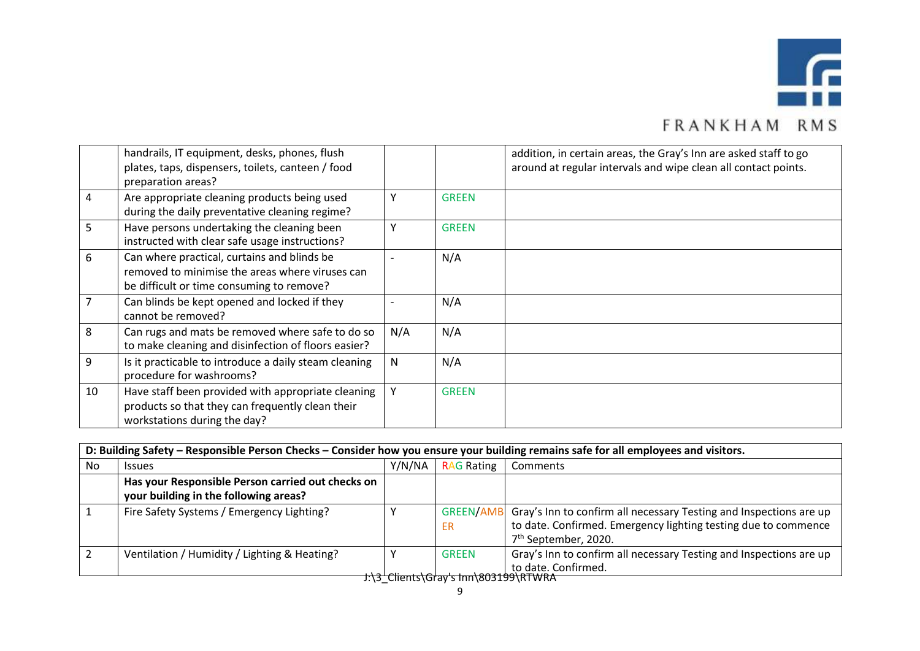

|    | handrails, IT equipment, desks, phones, flush<br>plates, taps, dispensers, toilets, canteen / food<br>preparation areas?                    |              |              | addition, in certain areas, the Gray's Inn are asked staff to go<br>around at regular intervals and wipe clean all contact points. |
|----|---------------------------------------------------------------------------------------------------------------------------------------------|--------------|--------------|------------------------------------------------------------------------------------------------------------------------------------|
| 4  | Are appropriate cleaning products being used<br>during the daily preventative cleaning regime?                                              | Υ            | <b>GREEN</b> |                                                                                                                                    |
| 5  | Have persons undertaking the cleaning been<br>instructed with clear safe usage instructions?                                                |              | <b>GREEN</b> |                                                                                                                                    |
| 6  | Can where practical, curtains and blinds be<br>removed to minimise the areas where viruses can<br>be difficult or time consuming to remove? |              | N/A          |                                                                                                                                    |
|    | Can blinds be kept opened and locked if they<br>cannot be removed?                                                                          |              | N/A          |                                                                                                                                    |
| 8  | Can rugs and mats be removed where safe to do so<br>to make cleaning and disinfection of floors easier?                                     | N/A          | N/A          |                                                                                                                                    |
| 9  | Is it practicable to introduce a daily steam cleaning<br>procedure for washrooms?                                                           | $\mathsf{N}$ | N/A          |                                                                                                                                    |
| 10 | Have staff been provided with appropriate cleaning<br>products so that they can frequently clean their<br>workstations during the day?      |              | <b>GREEN</b> |                                                                                                                                    |

|    | D: Building Safety – Responsible Person Checks – Consider how you ensure your building remains safe for all employees and visitors. |                                      |                        |                                                                                                                                                                          |  |  |  |  |
|----|-------------------------------------------------------------------------------------------------------------------------------------|--------------------------------------|------------------------|--------------------------------------------------------------------------------------------------------------------------------------------------------------------------|--|--|--|--|
| No | <b>Issues</b>                                                                                                                       | Y/N/NA                               | <b>RAG Rating</b>      | Comments                                                                                                                                                                 |  |  |  |  |
|    | Has your Responsible Person carried out checks on<br>your building in the following areas?                                          |                                      |                        |                                                                                                                                                                          |  |  |  |  |
|    | Fire Safety Systems / Emergency Lighting?                                                                                           |                                      | <b>GREEN/AMB</b><br>ER | Gray's Inn to confirm all necessary Testing and Inspections are up<br>to date. Confirmed. Emergency lighting testing due to commence<br>7 <sup>th</sup> September, 2020. |  |  |  |  |
|    | Ventilation / Humidity / Lighting & Heating?                                                                                        |                                      | <b>GREEN</b>           | Gray's Inn to confirm all necessary Testing and Inspections are up<br>to date. Confirmed.                                                                                |  |  |  |  |
|    |                                                                                                                                     | J:\3 Clients\Gray's Inn\803199\RTWRA |                        |                                                                                                                                                                          |  |  |  |  |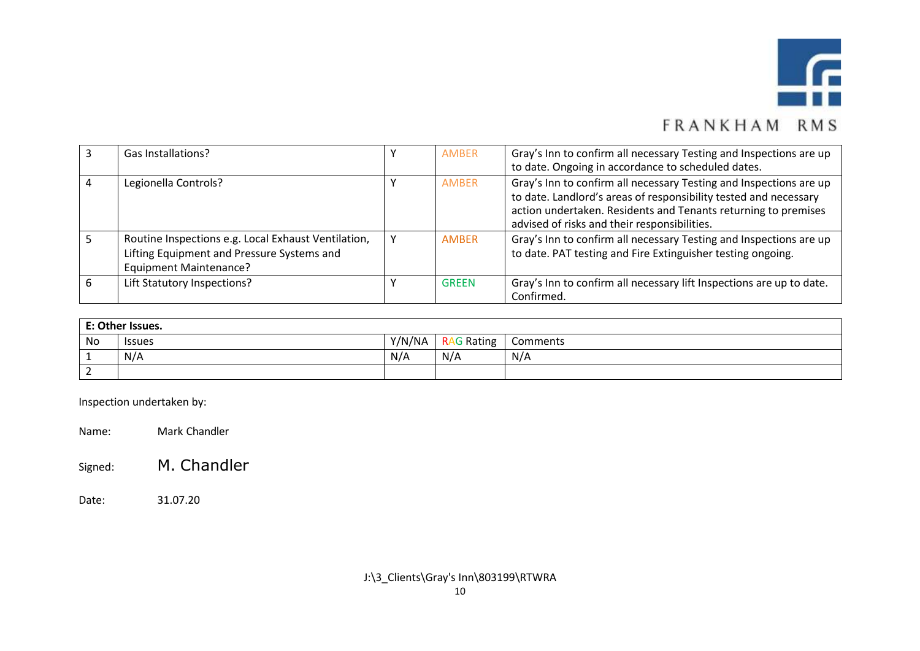

| Gas Installations?                                                                                                                 | AMBER        | Gray's Inn to confirm all necessary Testing and Inspections are up<br>to date. Ongoing in accordance to scheduled dates.                                                                                                                                 |
|------------------------------------------------------------------------------------------------------------------------------------|--------------|----------------------------------------------------------------------------------------------------------------------------------------------------------------------------------------------------------------------------------------------------------|
| Legionella Controls?                                                                                                               | AMBER        | Gray's Inn to confirm all necessary Testing and Inspections are up<br>to date. Landlord's areas of responsibility tested and necessary<br>action undertaken. Residents and Tenants returning to premises<br>advised of risks and their responsibilities. |
| Routine Inspections e.g. Local Exhaust Ventilation,<br>Lifting Equipment and Pressure Systems and<br><b>Equipment Maintenance?</b> | <b>AMBER</b> | Gray's Inn to confirm all necessary Testing and Inspections are up<br>to date. PAT testing and Fire Extinguisher testing ongoing.                                                                                                                        |
| Lift Statutory Inspections?                                                                                                        | <b>GREEN</b> | Gray's Inn to confirm all necessary lift Inspections are up to date.<br>Confirmed.                                                                                                                                                                       |

|    | E: Other Issues. |        |                   |          |  |  |  |  |  |  |  |
|----|------------------|--------|-------------------|----------|--|--|--|--|--|--|--|
| No | <b>Issues</b>    | Y/N/NA | <b>RAG Rating</b> | Comments |  |  |  |  |  |  |  |
|    | N/A              | N/A    | N/A               | N/A      |  |  |  |  |  |  |  |
|    |                  |        |                   |          |  |  |  |  |  |  |  |

Inspection undertaken by:

Name: Mark Chandler

Signed: M. Chandler

Date: 31.07.20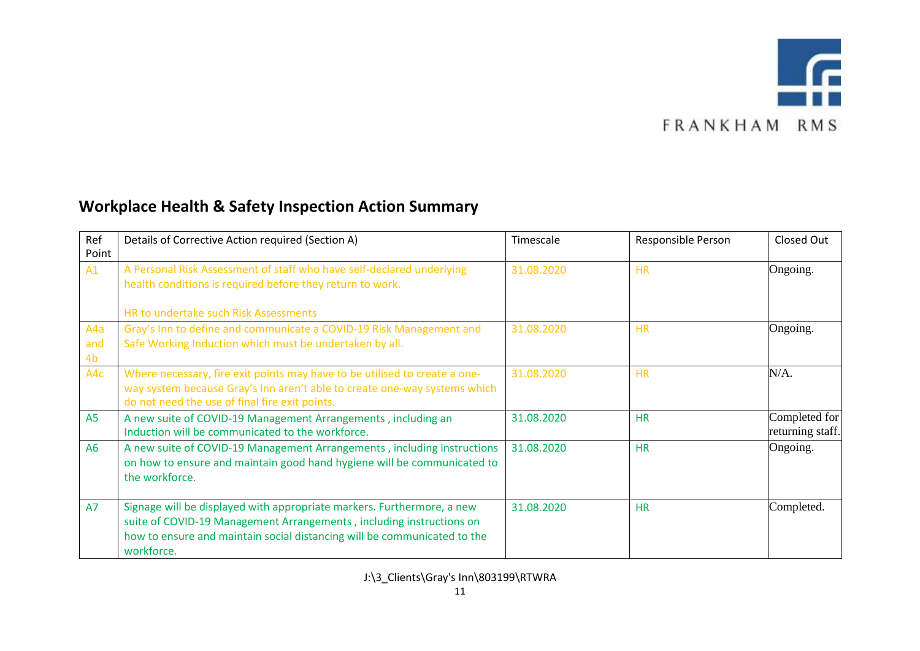

### **Workplace Health & Safety Inspection Action Summary**

| Ref<br>Point     | Details of Corrective Action required (Section A)                                                                                                                                                                                        | Timescale  | Responsible Person | Closed Out                        |
|------------------|------------------------------------------------------------------------------------------------------------------------------------------------------------------------------------------------------------------------------------------|------------|--------------------|-----------------------------------|
| A1               | A Personal Risk Assessment of staff who have self-declared underlying<br>health conditions is required before they return to work.                                                                                                       | 31.08.2020 | <b>HR</b>          | Ongoing.                          |
|                  | HR to undertake such Risk Assessments                                                                                                                                                                                                    |            |                    |                                   |
| A4a<br>and<br>4b | Gray's Inn to define and communicate a COVID-19 Risk Management and<br>Safe Working Induction which must be undertaken by all.                                                                                                           | 31.08.2020 | <b>HR</b>          | Ongoing.                          |
| A4c              | Where necessary, fire exit points may have to be utilised to create a one-<br>way system because Gray's Inn aren't able to create one-way systems which<br>do not need the use of final fire exit points.                                | 31.08.2020 | <b>HR</b>          | $N/A$ .                           |
| A <sub>5</sub>   | A new suite of COVID-19 Management Arrangements, including an<br>Induction will be communicated to the workforce.                                                                                                                        | 31.08.2020 | <b>HR</b>          | Completed for<br>returning staff. |
| <b>A6</b>        | A new suite of COVID-19 Management Arrangements, including instructions<br>on how to ensure and maintain good hand hygiene will be communicated to<br>the workforce.                                                                     | 31.08.2020 | <b>HR</b>          | Ongoing.                          |
| <b>A7</b>        | Signage will be displayed with appropriate markers. Furthermore, a new<br>suite of COVID-19 Management Arrangements, including instructions on<br>how to ensure and maintain social distancing will be communicated to the<br>workforce. | 31.08.2020 | <b>HR</b>          | Completed.                        |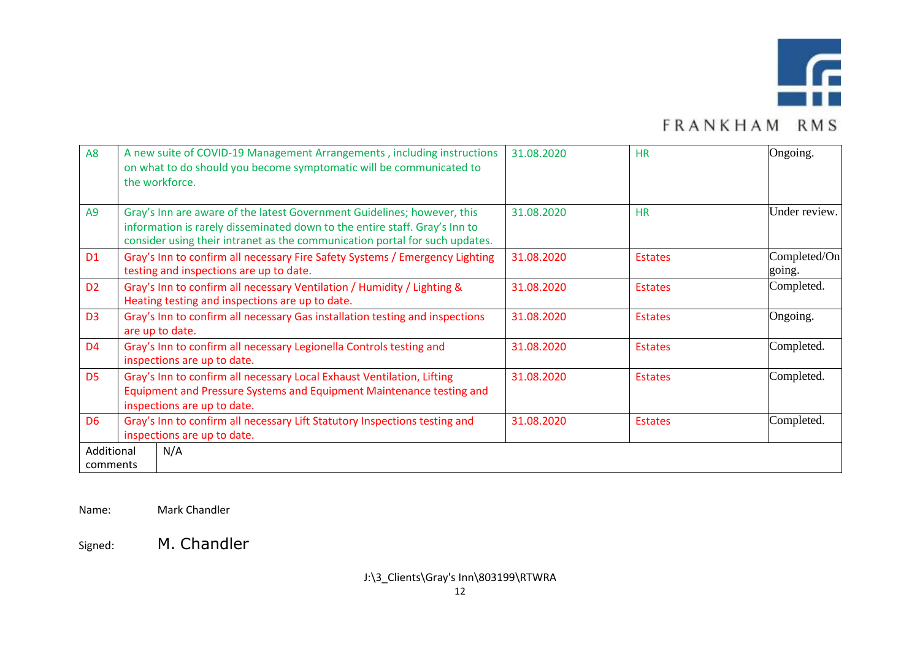

| A <sub>8</sub>         | A new suite of COVID-19 Management Arrangements, including instructions<br>on what to do should you become symptomatic will be communicated to<br>the workforce.                                                                     | 31.08.2020 | <b>HR</b>      | Ongoing.               |
|------------------------|--------------------------------------------------------------------------------------------------------------------------------------------------------------------------------------------------------------------------------------|------------|----------------|------------------------|
| A <sub>9</sub>         | Gray's Inn are aware of the latest Government Guidelines; however, this<br>information is rarely disseminated down to the entire staff. Gray's Inn to<br>consider using their intranet as the communication portal for such updates. | 31.08.2020 | <b>HR</b>      | Under review.          |
| D <sub>1</sub>         | Gray's Inn to confirm all necessary Fire Safety Systems / Emergency Lighting<br>testing and inspections are up to date.                                                                                                              | 31.08.2020 | <b>Estates</b> | Completed/On<br>going. |
| D <sub>2</sub>         | Gray's Inn to confirm all necessary Ventilation / Humidity / Lighting &<br>Heating testing and inspections are up to date.                                                                                                           | 31.08.2020 | <b>Estates</b> | Completed.             |
| D <sub>3</sub>         | Gray's Inn to confirm all necessary Gas installation testing and inspections<br>are up to date.                                                                                                                                      | 31.08.2020 | <b>Estates</b> | Ongoing.               |
| D <sub>4</sub>         | Gray's Inn to confirm all necessary Legionella Controls testing and<br>inspections are up to date.                                                                                                                                   | 31.08.2020 | <b>Estates</b> | Completed.             |
| D <sub>5</sub>         | Gray's Inn to confirm all necessary Local Exhaust Ventilation, Lifting<br>Equipment and Pressure Systems and Equipment Maintenance testing and<br>inspections are up to date.                                                        | 31.08.2020 | <b>Estates</b> | Completed.             |
| D <sub>6</sub>         | Gray's Inn to confirm all necessary Lift Statutory Inspections testing and<br>inspections are up to date.                                                                                                                            | 31.08.2020 | <b>Estates</b> | Completed.             |
| Additional<br>comments | N/A                                                                                                                                                                                                                                  |            |                |                        |

Name: Mark Chandler

Signed: M. Chandler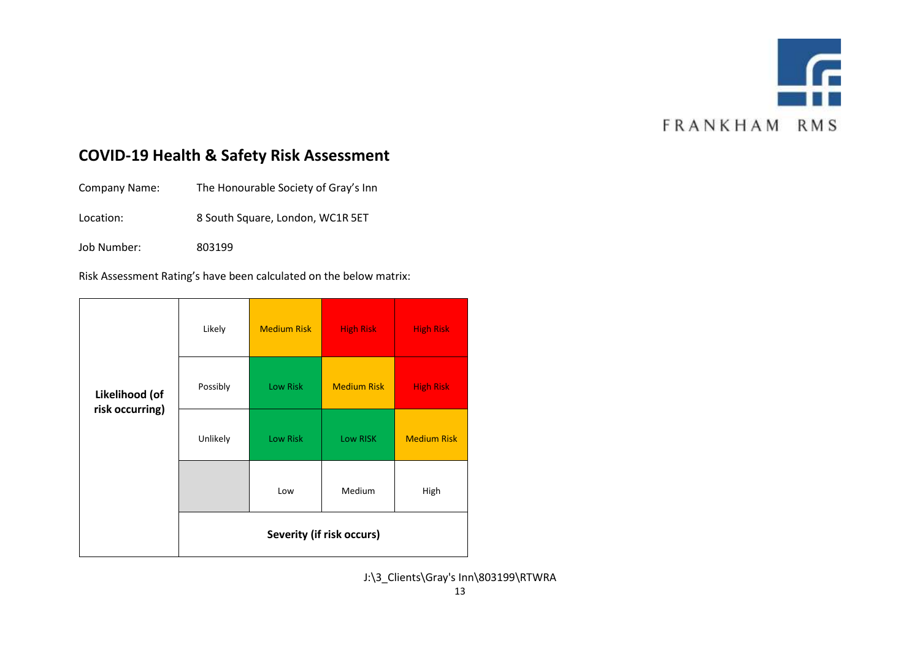

#### **COVID-19 Health & Safety Risk Assessment**

Company Name: The Honourable Society of Gray's Inn

Location: 8 South Square, London, WC1R 5ET

Job Number: 803199

Risk Assessment Rating's have been calculated on the below matrix:

|                                   | Likely                           | <b>Medium Risk</b> | <b>High Risk</b>   | <b>High Risk</b>   |  |  |  |  |  |
|-----------------------------------|----------------------------------|--------------------|--------------------|--------------------|--|--|--|--|--|
| Likelihood (of<br>risk occurring) | Possibly                         | Low Risk           | <b>Medium Risk</b> | <b>High Risk</b>   |  |  |  |  |  |
|                                   | Unlikely                         | Low Risk           | Low RISK           | <b>Medium Risk</b> |  |  |  |  |  |
|                                   |                                  | Medium<br>Low      |                    | High               |  |  |  |  |  |
|                                   | <b>Severity (if risk occurs)</b> |                    |                    |                    |  |  |  |  |  |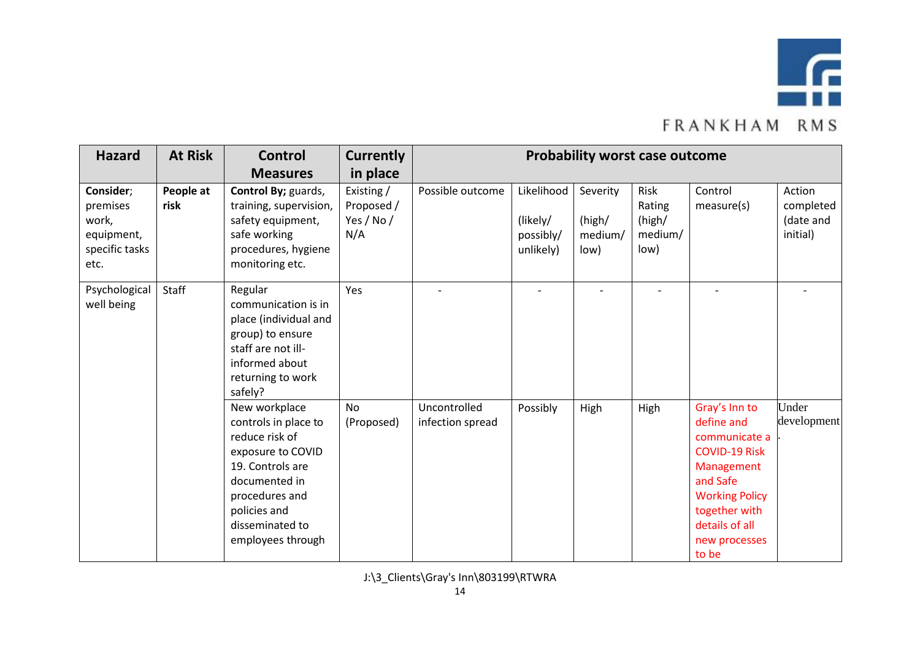

| <b>Hazard</b>                                 | <b>At Risk</b>    | <b>Control</b>                                                                                                                                                                              | <b>Currently</b>                     |                                  |                                    | <b>Probability worst case outcome</b> |                           |                                                                                                                                                                                      |                       |
|-----------------------------------------------|-------------------|---------------------------------------------------------------------------------------------------------------------------------------------------------------------------------------------|--------------------------------------|----------------------------------|------------------------------------|---------------------------------------|---------------------------|--------------------------------------------------------------------------------------------------------------------------------------------------------------------------------------|-----------------------|
| Consider;<br>premises                         | People at<br>risk | <b>Measures</b><br>Control By; guards,<br>training, supervision,                                                                                                                            | in place<br>Existing /<br>Proposed / | Possible outcome                 | Likelihood                         | Severity                              | Risk<br>Rating            | Control<br>measure(s)                                                                                                                                                                | Action<br>completed   |
| work,<br>equipment,<br>specific tasks<br>etc. |                   | safety equipment,<br>safe working<br>procedures, hygiene<br>monitoring etc.                                                                                                                 | Yes / No /<br>N/A                    |                                  | (likely/<br>possibly/<br>unlikely) | (high/<br>medium/<br>low)             | (high/<br>medium/<br>low) |                                                                                                                                                                                      | (date and<br>initial) |
| Psychological<br>well being                   | Staff             | Regular<br>communication is in<br>place (individual and<br>group) to ensure<br>staff are not ill-<br>informed about<br>returning to work<br>safely?                                         | Yes                                  |                                  |                                    |                                       |                           |                                                                                                                                                                                      |                       |
|                                               |                   | New workplace<br>controls in place to<br>reduce risk of<br>exposure to COVID<br>19. Controls are<br>documented in<br>procedures and<br>policies and<br>disseminated to<br>employees through | No<br>(Proposed)                     | Uncontrolled<br>infection spread | Possibly                           | High                                  | High                      | Gray's Inn to<br>define and<br>communicate a<br><b>COVID-19 Risk</b><br>Management<br>and Safe<br><b>Working Policy</b><br>together with<br>details of all<br>new processes<br>to be | Under<br>development  |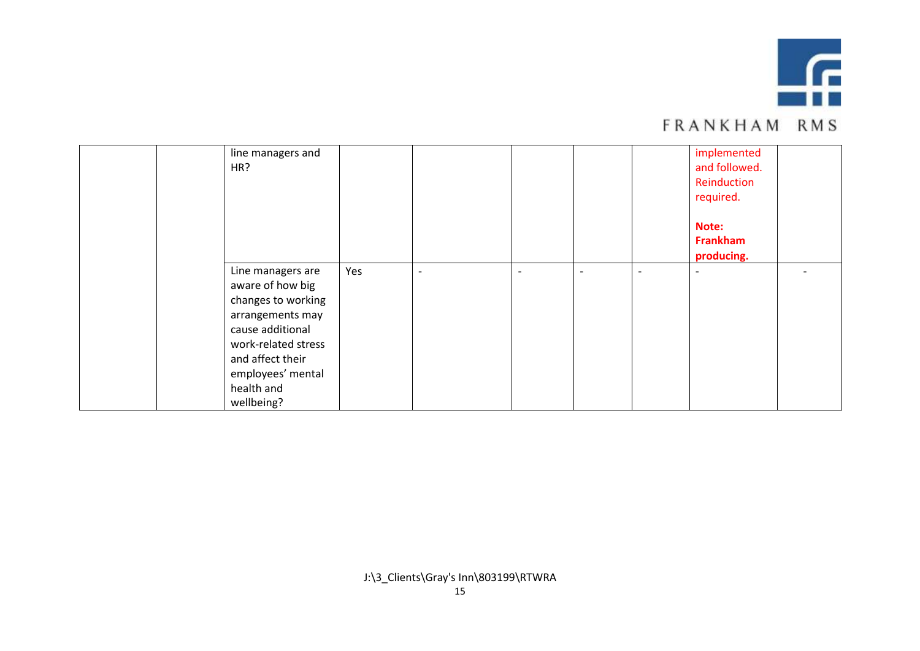

|  | line managers and<br>HR? |     |                          |                          |                          | implemented<br>and followed.<br>Reinduction<br>required. |  |
|--|--------------------------|-----|--------------------------|--------------------------|--------------------------|----------------------------------------------------------|--|
|  |                          |     |                          |                          |                          | Note:                                                    |  |
|  |                          |     |                          |                          |                          | Frankham                                                 |  |
|  |                          |     |                          |                          |                          | producing.                                               |  |
|  | Line managers are        | Yes | $\overline{\phantom{a}}$ | $\overline{\phantom{a}}$ | $\overline{\phantom{0}}$ | $\overline{\phantom{a}}$                                 |  |
|  | aware of how big         |     |                          |                          |                          |                                                          |  |
|  | changes to working       |     |                          |                          |                          |                                                          |  |
|  | arrangements may         |     |                          |                          |                          |                                                          |  |
|  | cause additional         |     |                          |                          |                          |                                                          |  |
|  | work-related stress      |     |                          |                          |                          |                                                          |  |
|  | and affect their         |     |                          |                          |                          |                                                          |  |
|  | employees' mental        |     |                          |                          |                          |                                                          |  |
|  | health and               |     |                          |                          |                          |                                                          |  |
|  | wellbeing?               |     |                          |                          |                          |                                                          |  |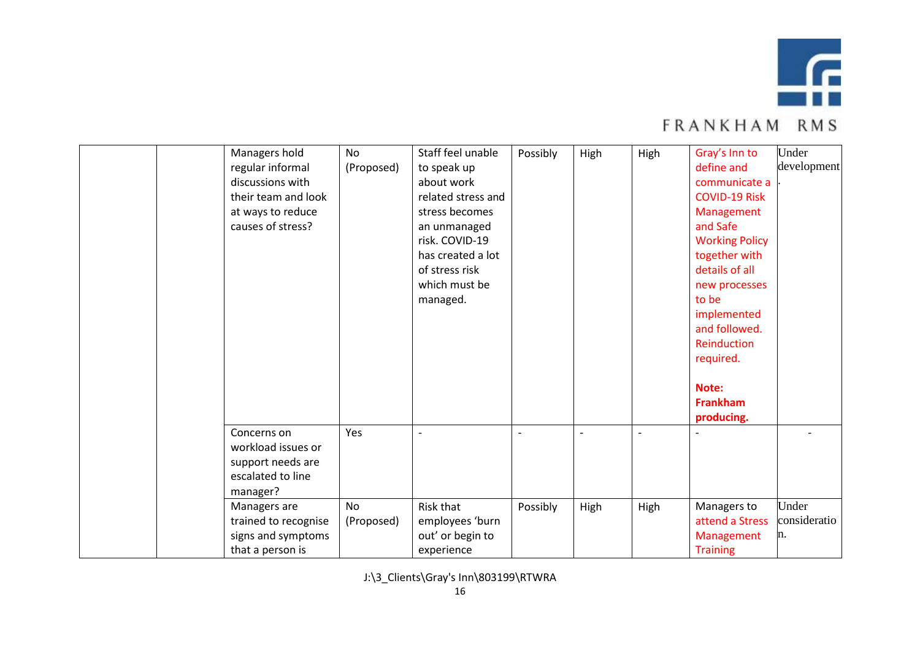

| Managers hold        | No         | Staff feel unable        | Possibly                 | High | High | Gray's Inn to         | Under        |
|----------------------|------------|--------------------------|--------------------------|------|------|-----------------------|--------------|
| regular informal     | (Proposed) | to speak up              |                          |      |      | define and            | development  |
| discussions with     |            | about work               |                          |      |      | communicate a         |              |
| their team and look  |            | related stress and       |                          |      |      | <b>COVID-19 Risk</b>  |              |
| at ways to reduce    |            | stress becomes           |                          |      |      | Management            |              |
| causes of stress?    |            | an unmanaged             |                          |      |      | and Safe              |              |
|                      |            | risk. COVID-19           |                          |      |      | <b>Working Policy</b> |              |
|                      |            | has created a lot        |                          |      |      | together with         |              |
|                      |            | of stress risk           |                          |      |      | details of all        |              |
|                      |            | which must be            |                          |      |      | new processes         |              |
|                      |            | managed.                 |                          |      |      | to be                 |              |
|                      |            |                          |                          |      |      | implemented           |              |
|                      |            |                          |                          |      |      | and followed.         |              |
|                      |            |                          |                          |      |      | Reinduction           |              |
|                      |            |                          |                          |      |      | required.             |              |
|                      |            |                          |                          |      |      |                       |              |
|                      |            |                          |                          |      |      | Note:                 |              |
|                      |            |                          |                          |      |      | <b>Frankham</b>       |              |
|                      |            |                          |                          |      |      | producing.            |              |
| Concerns on          | Yes        | $\overline{\phantom{a}}$ | $\overline{\phantom{a}}$ | L,   |      |                       |              |
| workload issues or   |            |                          |                          |      |      |                       |              |
| support needs are    |            |                          |                          |      |      |                       |              |
| escalated to line    |            |                          |                          |      |      |                       |              |
| manager?             |            |                          |                          |      |      |                       |              |
| Managers are         | No         | Risk that                | Possibly                 | High | High | Managers to           | Under        |
| trained to recognise | (Proposed) | employees 'burn          |                          |      |      | attend a Stress       | consideratio |
| signs and symptoms   |            | out' or begin to         |                          |      |      | Management            | n.           |
| that a person is     |            | experience               |                          |      |      | <b>Training</b>       |              |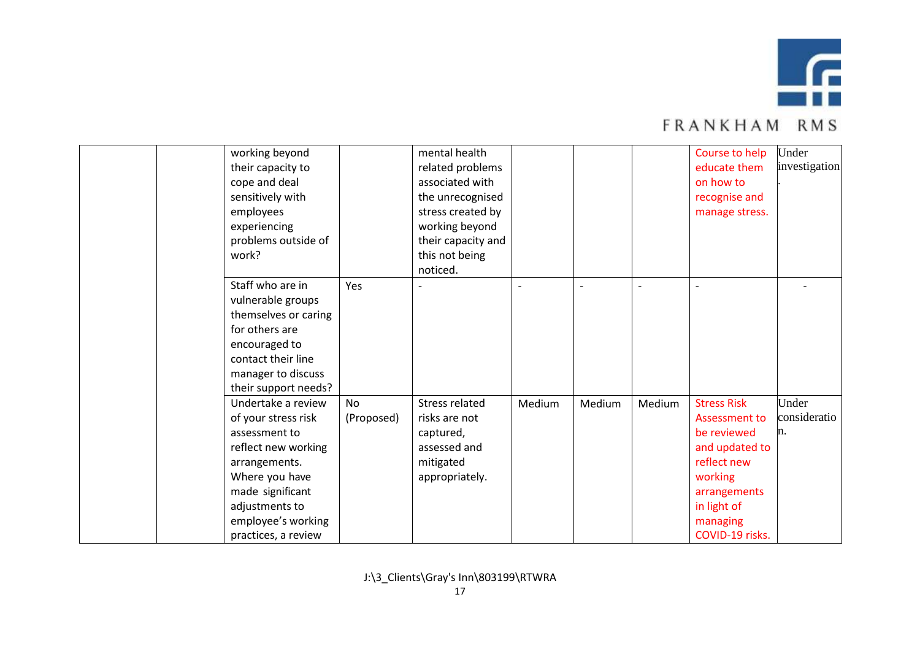

|  | working beyond       |            | mental health         |        |        |        | Course to help     | Under         |
|--|----------------------|------------|-----------------------|--------|--------|--------|--------------------|---------------|
|  | their capacity to    |            | related problems      |        |        |        | educate them       | investigation |
|  | cope and deal        |            | associated with       |        |        |        | on how to          |               |
|  | sensitively with     |            | the unrecognised      |        |        |        | recognise and      |               |
|  | employees            |            | stress created by     |        |        |        | manage stress.     |               |
|  | experiencing         |            | working beyond        |        |        |        |                    |               |
|  | problems outside of  |            | their capacity and    |        |        |        |                    |               |
|  | work?                |            | this not being        |        |        |        |                    |               |
|  |                      |            | noticed.              |        |        |        |                    |               |
|  | Staff who are in     | Yes        |                       |        |        |        |                    |               |
|  | vulnerable groups    |            |                       |        |        |        |                    |               |
|  | themselves or caring |            |                       |        |        |        |                    |               |
|  | for others are       |            |                       |        |        |        |                    |               |
|  | encouraged to        |            |                       |        |        |        |                    |               |
|  | contact their line   |            |                       |        |        |        |                    |               |
|  | manager to discuss   |            |                       |        |        |        |                    |               |
|  | their support needs? |            |                       |        |        |        |                    |               |
|  | Undertake a review   | <b>No</b>  | <b>Stress related</b> | Medium | Medium | Medium | <b>Stress Risk</b> | Under         |
|  | of your stress risk  | (Proposed) | risks are not         |        |        |        | Assessment to      | consideratio  |
|  | assessment to        |            | captured,             |        |        |        | be reviewed        | n.            |
|  | reflect new working  |            | assessed and          |        |        |        | and updated to     |               |
|  | arrangements.        |            | mitigated             |        |        |        | reflect new        |               |
|  | Where you have       |            | appropriately.        |        |        |        | working            |               |
|  | made significant     |            |                       |        |        |        | arrangements       |               |
|  | adjustments to       |            |                       |        |        |        | in light of        |               |
|  | employee's working   |            |                       |        |        |        | managing           |               |
|  | practices, a review  |            |                       |        |        |        | COVID-19 risks.    |               |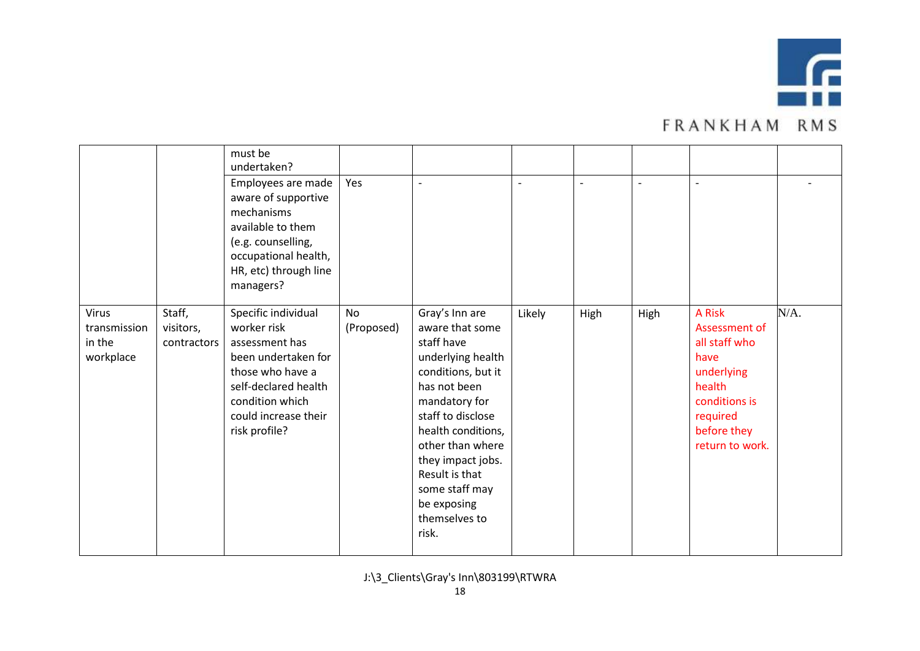

|                                                     |                                    | must be<br>undertaken?                                                                                                                                                              |                         |                                                                                                                                                                                                                                                                                              |        |                          |      |                                                                                                                                         |      |
|-----------------------------------------------------|------------------------------------|-------------------------------------------------------------------------------------------------------------------------------------------------------------------------------------|-------------------------|----------------------------------------------------------------------------------------------------------------------------------------------------------------------------------------------------------------------------------------------------------------------------------------------|--------|--------------------------|------|-----------------------------------------------------------------------------------------------------------------------------------------|------|
|                                                     |                                    | Employees are made<br>aware of supportive<br>mechanisms<br>available to them<br>(e.g. counselling,<br>occupational health,<br>HR, etc) through line<br>managers?                    | Yes                     | $\blacksquare$                                                                                                                                                                                                                                                                               | L,     | $\overline{\phantom{a}}$ |      | $\overline{\phantom{a}}$                                                                                                                |      |
| <b>Virus</b><br>transmission<br>in the<br>workplace | Staff,<br>visitors,<br>contractors | Specific individual<br>worker risk<br>assessment has<br>been undertaken for<br>those who have a<br>self-declared health<br>condition which<br>could increase their<br>risk profile? | <b>No</b><br>(Proposed) | Gray's Inn are<br>aware that some<br>staff have<br>underlying health<br>conditions, but it<br>has not been<br>mandatory for<br>staff to disclose<br>health conditions,<br>other than where<br>they impact jobs.<br>Result is that<br>some staff may<br>be exposing<br>themselves to<br>risk. | Likely | High                     | High | A Risk<br>Assessment of<br>all staff who<br>have<br>underlying<br>health<br>conditions is<br>required<br>before they<br>return to work. | N/A. |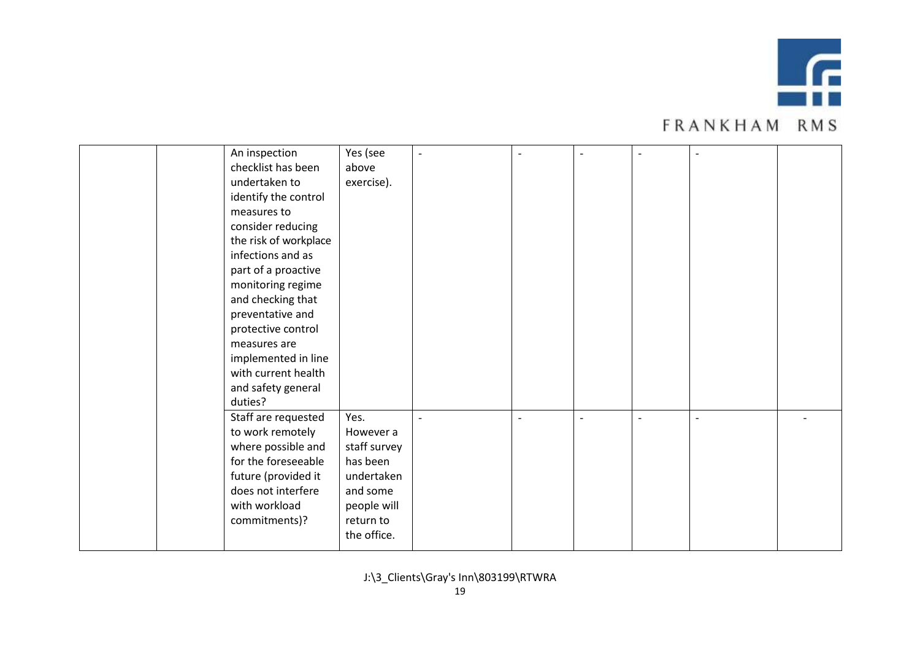

|  | An inspection         | Yes (see     | $\overline{\phantom{a}}$ |                |                          | $\overline{\phantom{a}}$ |  |
|--|-----------------------|--------------|--------------------------|----------------|--------------------------|--------------------------|--|
|  | checklist has been    | above        |                          |                |                          |                          |  |
|  | undertaken to         | exercise).   |                          |                |                          |                          |  |
|  | identify the control  |              |                          |                |                          |                          |  |
|  | measures to           |              |                          |                |                          |                          |  |
|  | consider reducing     |              |                          |                |                          |                          |  |
|  | the risk of workplace |              |                          |                |                          |                          |  |
|  | infections and as     |              |                          |                |                          |                          |  |
|  | part of a proactive   |              |                          |                |                          |                          |  |
|  | monitoring regime     |              |                          |                |                          |                          |  |
|  | and checking that     |              |                          |                |                          |                          |  |
|  | preventative and      |              |                          |                |                          |                          |  |
|  | protective control    |              |                          |                |                          |                          |  |
|  | measures are          |              |                          |                |                          |                          |  |
|  | implemented in line   |              |                          |                |                          |                          |  |
|  | with current health   |              |                          |                |                          |                          |  |
|  | and safety general    |              |                          |                |                          |                          |  |
|  | duties?               |              |                          |                |                          |                          |  |
|  | Staff are requested   | Yes.         |                          | $\overline{a}$ | $\overline{\phantom{a}}$ | $\overline{a}$           |  |
|  | to work remotely      | However a    |                          |                |                          |                          |  |
|  | where possible and    | staff survey |                          |                |                          |                          |  |
|  | for the foreseeable   | has been     |                          |                |                          |                          |  |
|  | future (provided it   | undertaken   |                          |                |                          |                          |  |
|  | does not interfere    | and some     |                          |                |                          |                          |  |
|  | with workload         | people will  |                          |                |                          |                          |  |
|  | commitments)?         | return to    |                          |                |                          |                          |  |
|  |                       | the office.  |                          |                |                          |                          |  |
|  |                       |              |                          |                |                          |                          |  |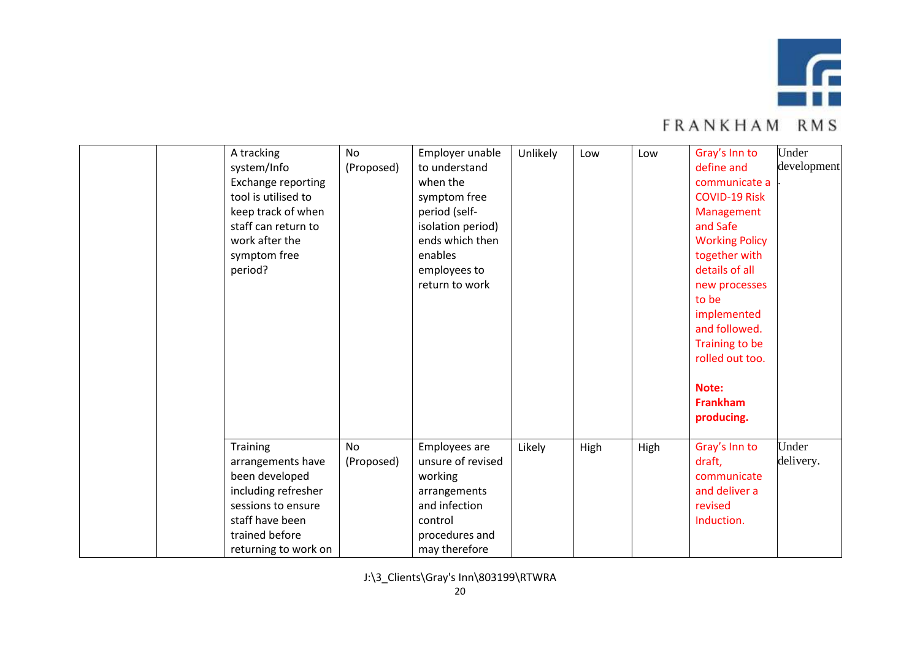

|  | A tracking<br>system/Info<br>Exchange reporting<br>tool is utilised to<br>keep track of when<br>staff can return to<br>work after the<br>symptom free<br>period? | <b>No</b><br>(Proposed) | Employer unable<br>to understand<br>when the<br>symptom free<br>period (self-<br>isolation period)<br>ends which then<br>enables<br>employees to<br>return to work | Unlikely | Low  | Low  | Gray's Inn to<br>define and<br>communicate a<br><b>COVID-19 Risk</b><br>Management<br>and Safe<br><b>Working Policy</b><br>together with<br>details of all<br>new processes<br>to be<br>implemented<br>and followed.<br>Training to be<br>rolled out too.<br>Note:<br><b>Frankham</b><br>producing. | Under<br>development |
|--|------------------------------------------------------------------------------------------------------------------------------------------------------------------|-------------------------|--------------------------------------------------------------------------------------------------------------------------------------------------------------------|----------|------|------|-----------------------------------------------------------------------------------------------------------------------------------------------------------------------------------------------------------------------------------------------------------------------------------------------------|----------------------|
|  | Training<br>arrangements have<br>been developed<br>including refresher<br>sessions to ensure<br>staff have been<br>trained before<br>returning to work on        | <b>No</b><br>(Proposed) | Employees are<br>unsure of revised<br>working<br>arrangements<br>and infection<br>control<br>procedures and<br>may therefore                                       | Likely   | High | High | Gray's Inn to<br>draft,<br>communicate<br>and deliver a<br>revised<br>Induction.                                                                                                                                                                                                                    | Under<br>delivery.   |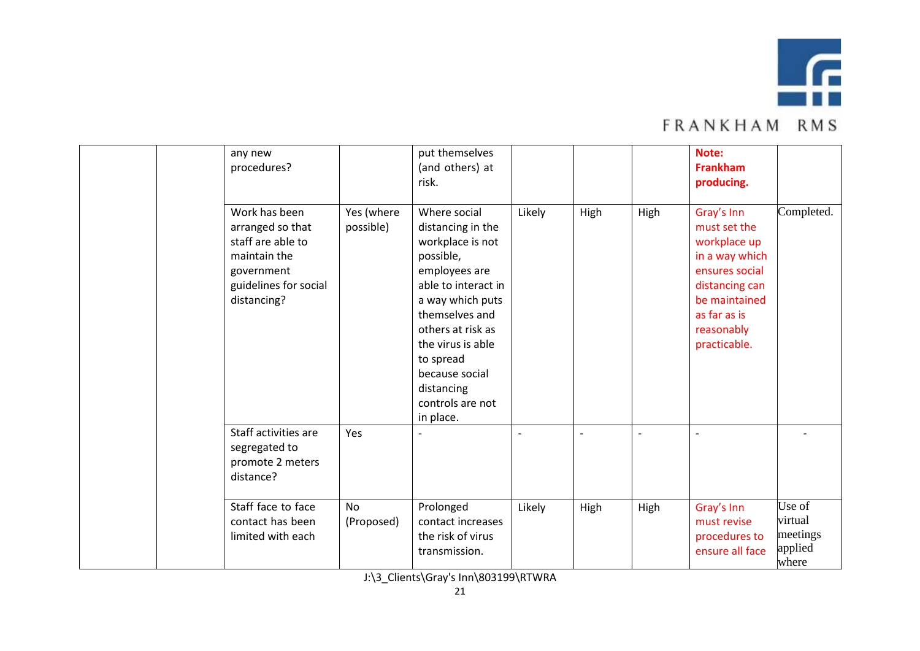

|  | any new<br>procedures?                                                                                                       |                         | put themselves<br>(and others) at<br>risk.                                                                                                                                                                                                                               |        |      |      | Note:<br><b>Frankham</b><br>producing.                                                                                                                          |                                                   |
|--|------------------------------------------------------------------------------------------------------------------------------|-------------------------|--------------------------------------------------------------------------------------------------------------------------------------------------------------------------------------------------------------------------------------------------------------------------|--------|------|------|-----------------------------------------------------------------------------------------------------------------------------------------------------------------|---------------------------------------------------|
|  | Work has been<br>arranged so that<br>staff are able to<br>maintain the<br>government<br>guidelines for social<br>distancing? | Yes (where<br>possible) | Where social<br>distancing in the<br>workplace is not<br>possible,<br>employees are<br>able to interact in<br>a way which puts<br>themselves and<br>others at risk as<br>the virus is able<br>to spread<br>because social<br>distancing<br>controls are not<br>in place. | Likely | High | High | Gray's Inn<br>must set the<br>workplace up<br>in a way which<br>ensures social<br>distancing can<br>be maintained<br>as far as is<br>reasonably<br>practicable. | Completed.                                        |
|  | Staff activities are<br>segregated to<br>promote 2 meters<br>distance?                                                       | Yes                     |                                                                                                                                                                                                                                                                          |        |      |      | $\overline{\phantom{a}}$                                                                                                                                        |                                                   |
|  | Staff face to face<br>contact has been<br>limited with each                                                                  | No<br>(Proposed)        | Prolonged<br>contact increases<br>the risk of virus<br>transmission.                                                                                                                                                                                                     | Likely | High | High | Gray's Inn<br>must revise<br>procedures to<br>ensure all face                                                                                                   | Use of<br>virtual<br>meetings<br>applied<br>where |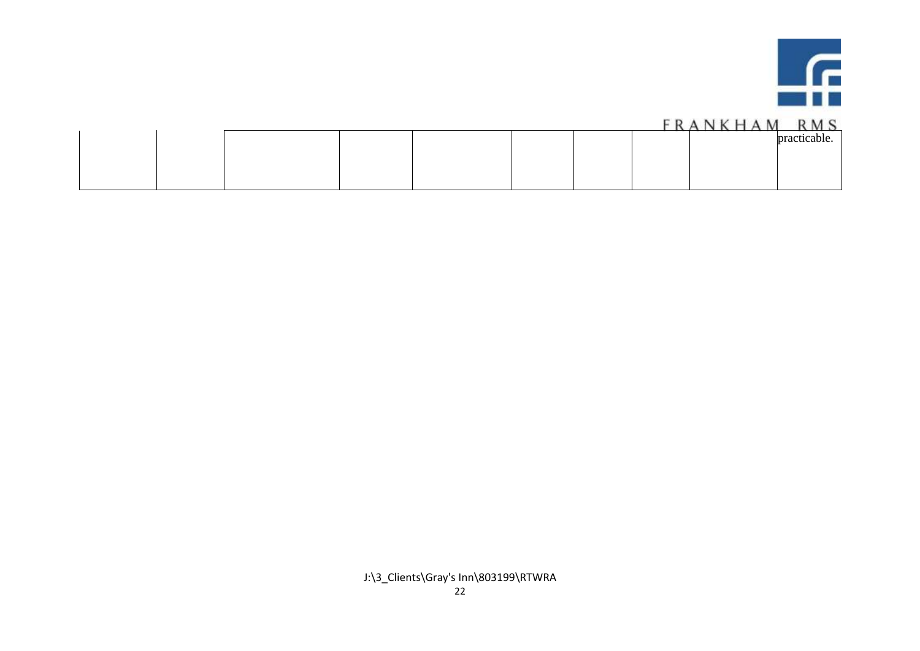

|  |  |  | .              |
|--|--|--|----------------|
|  |  |  | nract<br>able. |
|  |  |  |                |
|  |  |  |                |
|  |  |  |                |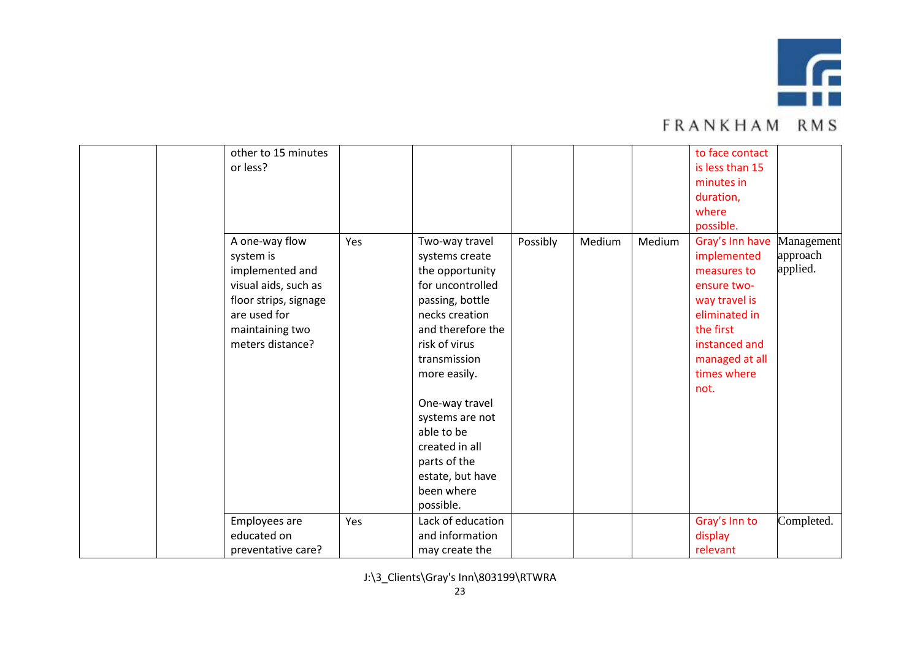

|  | other to 15 minutes   |     |                   |          |        |        | to face contact |            |
|--|-----------------------|-----|-------------------|----------|--------|--------|-----------------|------------|
|  | or less?              |     |                   |          |        |        | is less than 15 |            |
|  |                       |     |                   |          |        |        | minutes in      |            |
|  |                       |     |                   |          |        |        | duration,       |            |
|  |                       |     |                   |          |        |        | where           |            |
|  |                       |     |                   |          |        |        | possible.       |            |
|  | A one-way flow        | Yes | Two-way travel    | Possibly | Medium | Medium | Gray's Inn have | Management |
|  | system is             |     | systems create    |          |        |        | implemented     | approach   |
|  | implemented and       |     | the opportunity   |          |        |        | measures to     | applied.   |
|  | visual aids, such as  |     | for uncontrolled  |          |        |        | ensure two-     |            |
|  | floor strips, signage |     | passing, bottle   |          |        |        | way travel is   |            |
|  | are used for          |     | necks creation    |          |        |        | eliminated in   |            |
|  | maintaining two       |     | and therefore the |          |        |        | the first       |            |
|  | meters distance?      |     | risk of virus     |          |        |        | instanced and   |            |
|  |                       |     | transmission      |          |        |        | managed at all  |            |
|  |                       |     | more easily.      |          |        |        | times where     |            |
|  |                       |     |                   |          |        |        | not.            |            |
|  |                       |     | One-way travel    |          |        |        |                 |            |
|  |                       |     | systems are not   |          |        |        |                 |            |
|  |                       |     | able to be        |          |        |        |                 |            |
|  |                       |     | created in all    |          |        |        |                 |            |
|  |                       |     | parts of the      |          |        |        |                 |            |
|  |                       |     | estate, but have  |          |        |        |                 |            |
|  |                       |     | been where        |          |        |        |                 |            |
|  |                       |     | possible.         |          |        |        |                 |            |
|  | Employees are         | Yes | Lack of education |          |        |        | Gray's Inn to   | Completed. |
|  | educated on           |     | and information   |          |        |        | display         |            |
|  | preventative care?    |     | may create the    |          |        |        | relevant        |            |
|  |                       |     |                   |          |        |        |                 |            |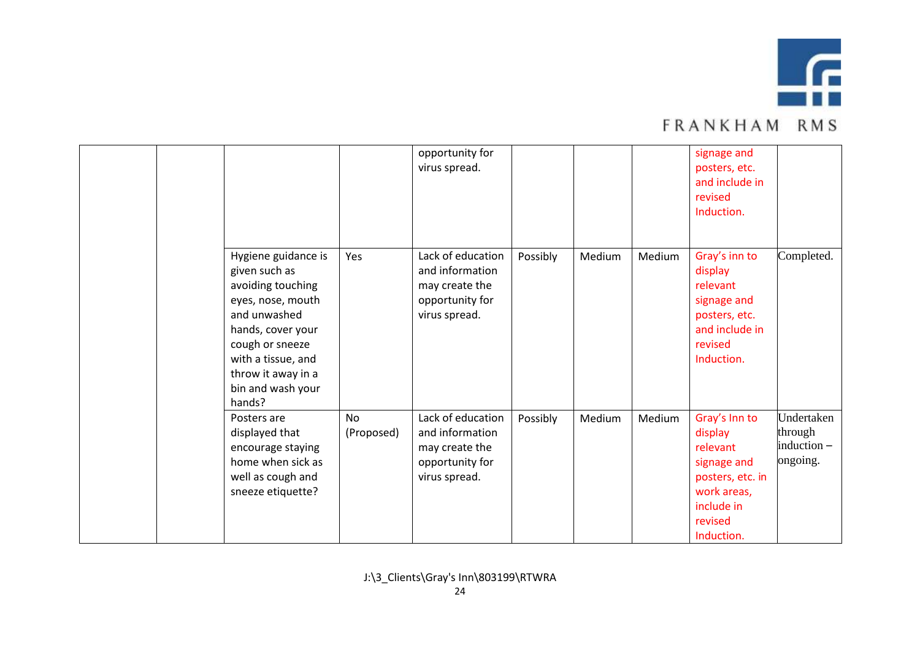

|  |                                                                                                                                                                                                                   |                         | opportunity for<br>virus spread.                                                           |          |        |        | signage and<br>posters, etc.<br>and include in<br>revised<br>Induction.                                                       |                                                  |
|--|-------------------------------------------------------------------------------------------------------------------------------------------------------------------------------------------------------------------|-------------------------|--------------------------------------------------------------------------------------------|----------|--------|--------|-------------------------------------------------------------------------------------------------------------------------------|--------------------------------------------------|
|  | Hygiene guidance is<br>given such as<br>avoiding touching<br>eyes, nose, mouth<br>and unwashed<br>hands, cover your<br>cough or sneeze<br>with a tissue, and<br>throw it away in a<br>bin and wash your<br>hands? | Yes                     | Lack of education<br>and information<br>may create the<br>opportunity for<br>virus spread. | Possibly | Medium | Medium | Gray's inn to<br>display<br>relevant<br>signage and<br>posters, etc.<br>and include in<br>revised<br>Induction.               | Completed.                                       |
|  | Posters are<br>displayed that<br>encourage staying<br>home when sick as<br>well as cough and<br>sneeze etiquette?                                                                                                 | <b>No</b><br>(Proposed) | Lack of education<br>and information<br>may create the<br>opportunity for<br>virus spread. | Possibly | Medium | Medium | Gray's Inn to<br>display<br>relevant<br>signage and<br>posters, etc. in<br>work areas,<br>include in<br>revised<br>Induction. | Undertaken<br>through<br>induction -<br>ongoing. |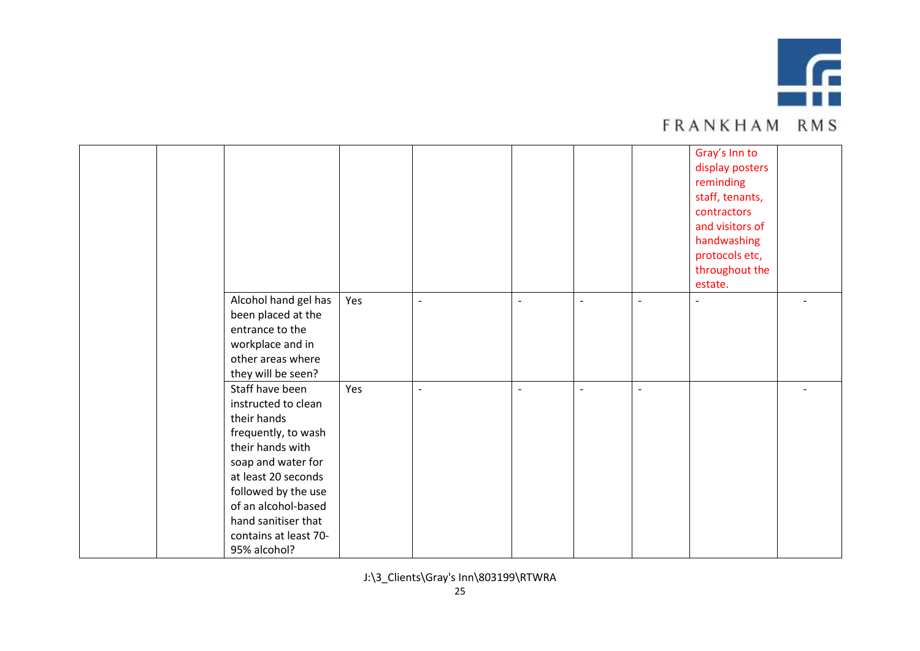

|  |                       |     |                          |                |                |                          | Gray's Inn to   |  |
|--|-----------------------|-----|--------------------------|----------------|----------------|--------------------------|-----------------|--|
|  |                       |     |                          |                |                |                          | display posters |  |
|  |                       |     |                          |                |                |                          | reminding       |  |
|  |                       |     |                          |                |                |                          | staff, tenants, |  |
|  |                       |     |                          |                |                |                          | contractors     |  |
|  |                       |     |                          |                |                |                          | and visitors of |  |
|  |                       |     |                          |                |                |                          | handwashing     |  |
|  |                       |     |                          |                |                |                          | protocols etc,  |  |
|  |                       |     |                          |                |                |                          | throughout the  |  |
|  |                       |     |                          |                |                |                          | estate.         |  |
|  | Alcohol hand gel has  | Yes | $\overline{\phantom{0}}$ | $\blacksquare$ | $\sim$         | $\sim$                   | $\overline{a}$  |  |
|  | been placed at the    |     |                          |                |                |                          |                 |  |
|  | entrance to the       |     |                          |                |                |                          |                 |  |
|  | workplace and in      |     |                          |                |                |                          |                 |  |
|  | other areas where     |     |                          |                |                |                          |                 |  |
|  | they will be seen?    |     |                          |                |                |                          |                 |  |
|  | Staff have been       | Yes | $\blacksquare$           | $\blacksquare$ | $\blacksquare$ | $\overline{\phantom{a}}$ |                 |  |
|  | instructed to clean   |     |                          |                |                |                          |                 |  |
|  | their hands           |     |                          |                |                |                          |                 |  |
|  | frequently, to wash   |     |                          |                |                |                          |                 |  |
|  | their hands with      |     |                          |                |                |                          |                 |  |
|  | soap and water for    |     |                          |                |                |                          |                 |  |
|  | at least 20 seconds   |     |                          |                |                |                          |                 |  |
|  | followed by the use   |     |                          |                |                |                          |                 |  |
|  | of an alcohol-based   |     |                          |                |                |                          |                 |  |
|  | hand sanitiser that   |     |                          |                |                |                          |                 |  |
|  | contains at least 70- |     |                          |                |                |                          |                 |  |
|  | 95% alcohol?          |     |                          |                |                |                          |                 |  |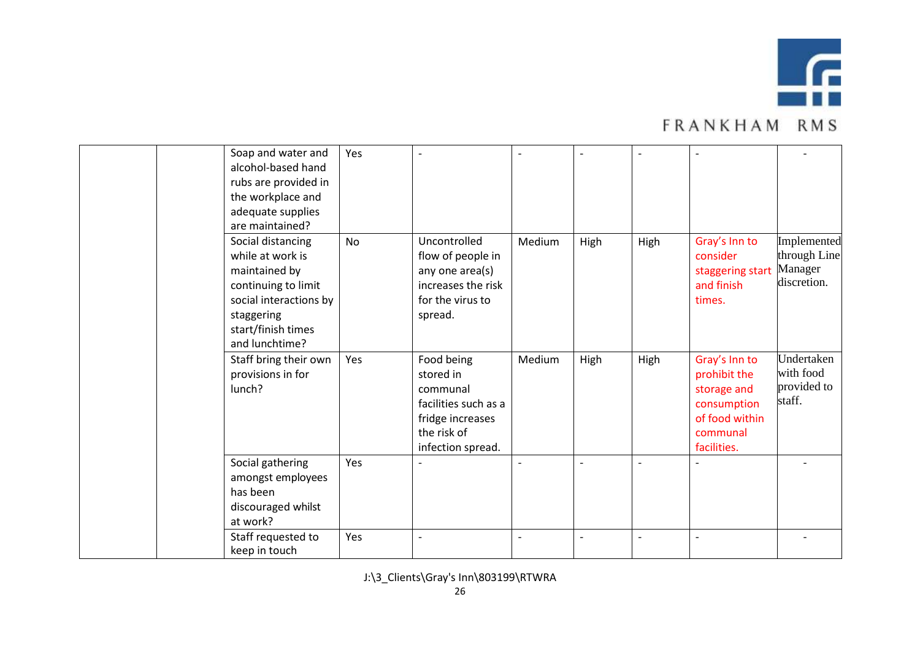

| Soap and water and<br>alcohol-based hand<br>rubs are provided in<br>the workplace and<br>adequate supplies<br>are maintained?                                 | Yes       |                                                                                                                     |        |      |      |                                                                                                          |                                                       |
|---------------------------------------------------------------------------------------------------------------------------------------------------------------|-----------|---------------------------------------------------------------------------------------------------------------------|--------|------|------|----------------------------------------------------------------------------------------------------------|-------------------------------------------------------|
| Social distancing<br>while at work is<br>maintained by<br>continuing to limit<br>social interactions by<br>staggering<br>start/finish times<br>and lunchtime? | <b>No</b> | Uncontrolled<br>flow of people in<br>any one area(s)<br>increases the risk<br>for the virus to<br>spread.           | Medium | High | High | Gray's Inn to<br>consider<br>staggering start<br>and finish<br>times.                                    | Implemented<br>through Line<br>Manager<br>discretion. |
| Staff bring their own<br>provisions in for<br>lunch?                                                                                                          | Yes       | Food being<br>stored in<br>communal<br>facilities such as a<br>fridge increases<br>the risk of<br>infection spread. | Medium | High | High | Gray's Inn to<br>prohibit the<br>storage and<br>consumption<br>of food within<br>communal<br>facilities. | Undertaken<br>with food<br>provided to<br>staff.      |
| Social gathering<br>amongst employees<br>has been<br>discouraged whilst<br>at work?                                                                           | Yes       |                                                                                                                     |        |      |      |                                                                                                          |                                                       |
| Staff requested to<br>keep in touch                                                                                                                           | Yes       |                                                                                                                     |        |      |      | $\overline{a}$                                                                                           |                                                       |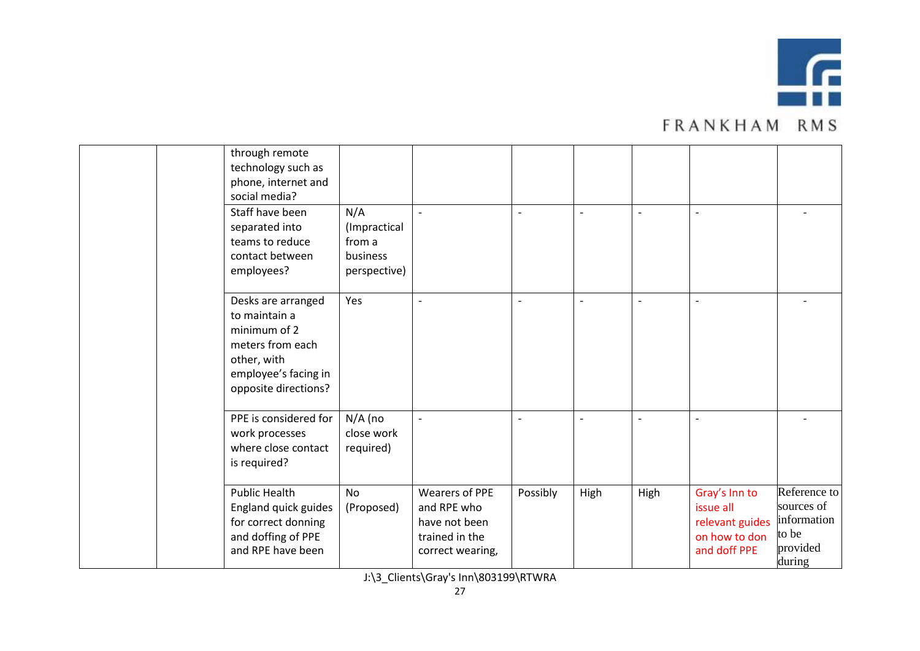

| through remote<br>technology such as<br>phone, internet and<br>social media?                                                           |                                                           |                                                                                      |                          |                |                |                                                                                |                                                                          |
|----------------------------------------------------------------------------------------------------------------------------------------|-----------------------------------------------------------|--------------------------------------------------------------------------------------|--------------------------|----------------|----------------|--------------------------------------------------------------------------------|--------------------------------------------------------------------------|
| Staff have been<br>separated into<br>teams to reduce<br>contact between<br>employees?                                                  | N/A<br>(Impractical<br>from a<br>business<br>perspective) |                                                                                      | $\sim$                   | $\overline{a}$ |                |                                                                                |                                                                          |
| Desks are arranged<br>to maintain a<br>minimum of 2<br>meters from each<br>other, with<br>employee's facing in<br>opposite directions? | Yes                                                       | $\overline{\phantom{a}}$                                                             | $\overline{\phantom{a}}$ | $\overline{a}$ | $\overline{a}$ | $\overline{\phantom{a}}$                                                       |                                                                          |
| PPE is considered for<br>work processes<br>where close contact<br>is required?                                                         | $N/A$ (no<br>close work<br>required)                      | $\overline{\phantom{a}}$                                                             | $\overline{\phantom{a}}$ | ٠              |                |                                                                                |                                                                          |
| <b>Public Health</b><br>England quick guides<br>for correct donning<br>and doffing of PPE<br>and RPE have been                         | <b>No</b><br>(Proposed)                                   | Wearers of PPE<br>and RPE who<br>have not been<br>trained in the<br>correct wearing, | Possibly                 | High           | High           | Gray's Inn to<br>issue all<br>relevant guides<br>on how to don<br>and doff PPE | Reference to<br>sources of<br>information<br>to be<br>provided<br>during |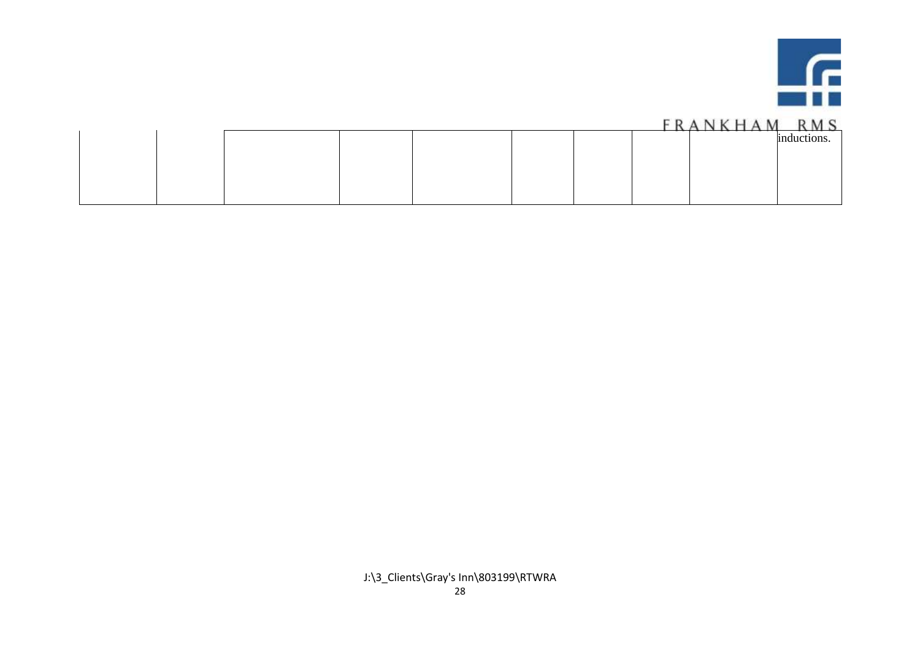

|  |  |  |  | . |             |
|--|--|--|--|---|-------------|
|  |  |  |  |   | inductions. |
|  |  |  |  |   |             |
|  |  |  |  |   |             |
|  |  |  |  |   |             |
|  |  |  |  |   |             |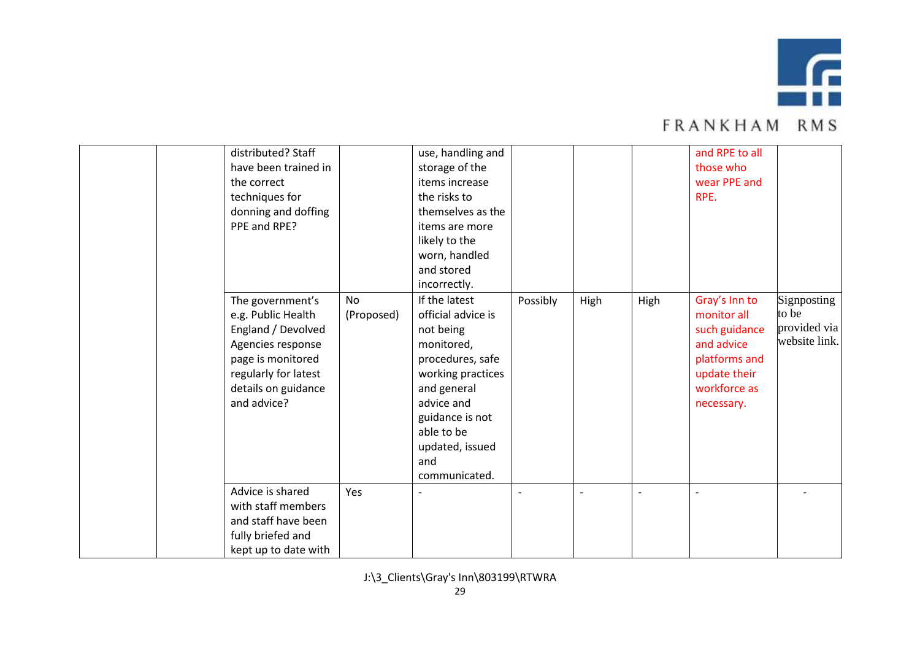

|  | distributed? Staff   |            | use, handling and  |          |      |      | and RPE to all |               |
|--|----------------------|------------|--------------------|----------|------|------|----------------|---------------|
|  | have been trained in |            | storage of the     |          |      |      | those who      |               |
|  | the correct          |            | items increase     |          |      |      | wear PPE and   |               |
|  | techniques for       |            | the risks to       |          |      |      | RPE.           |               |
|  | donning and doffing  |            | themselves as the  |          |      |      |                |               |
|  | PPE and RPE?         |            | items are more     |          |      |      |                |               |
|  |                      |            | likely to the      |          |      |      |                |               |
|  |                      |            | worn, handled      |          |      |      |                |               |
|  |                      |            | and stored         |          |      |      |                |               |
|  |                      |            | incorrectly.       |          |      |      |                |               |
|  | The government's     | No         | If the latest      | Possibly | High | High | Gray's Inn to  | Signposting   |
|  | e.g. Public Health   | (Proposed) | official advice is |          |      |      | monitor all    | to be         |
|  | England / Devolved   |            | not being          |          |      |      | such guidance  | provided via  |
|  | Agencies response    |            | monitored,         |          |      |      | and advice     | website link. |
|  | page is monitored    |            | procedures, safe   |          |      |      | platforms and  |               |
|  | regularly for latest |            | working practices  |          |      |      | update their   |               |
|  | details on guidance  |            | and general        |          |      |      | workforce as   |               |
|  | and advice?          |            | advice and         |          |      |      | necessary.     |               |
|  |                      |            | guidance is not    |          |      |      |                |               |
|  |                      |            | able to be         |          |      |      |                |               |
|  |                      |            | updated, issued    |          |      |      |                |               |
|  |                      |            | and                |          |      |      |                |               |
|  |                      |            | communicated.      |          |      |      |                |               |
|  | Advice is shared     | Yes        |                    |          |      |      |                |               |
|  | with staff members   |            |                    |          |      |      |                |               |
|  | and staff have been  |            |                    |          |      |      |                |               |
|  | fully briefed and    |            |                    |          |      |      |                |               |
|  | kept up to date with |            |                    |          |      |      |                |               |
|  |                      |            |                    |          |      |      |                |               |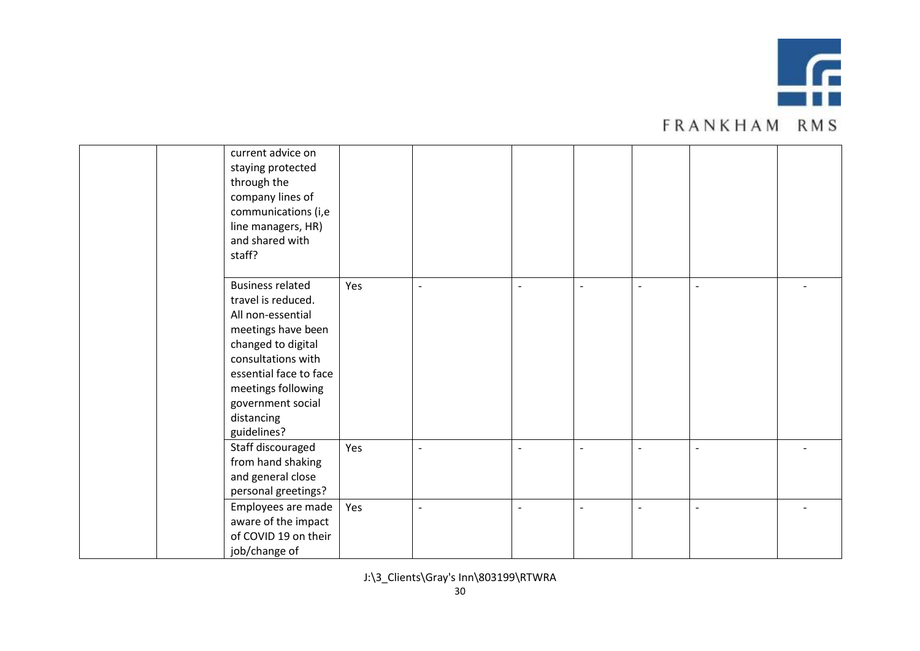

| <b>FRANKHAM RMS</b> |  |  |  |  |  |  |  |  |  |  |
|---------------------|--|--|--|--|--|--|--|--|--|--|
|---------------------|--|--|--|--|--|--|--|--|--|--|

| current advice on<br>staying protected<br>through the<br>company lines of<br>communications (i,e<br>line managers, HR)<br>and shared with<br>staff?                                                                                    |     |                          |                          |                          |                          |                          |  |
|----------------------------------------------------------------------------------------------------------------------------------------------------------------------------------------------------------------------------------------|-----|--------------------------|--------------------------|--------------------------|--------------------------|--------------------------|--|
| <b>Business related</b><br>travel is reduced.<br>All non-essential<br>meetings have been<br>changed to digital<br>consultations with<br>essential face to face<br>meetings following<br>government social<br>distancing<br>guidelines? | Yes | $\overline{\phantom{a}}$ | $\blacksquare$           | $\overline{\phantom{a}}$ | $\overline{\phantom{0}}$ | $\overline{\phantom{a}}$ |  |
| Staff discouraged<br>from hand shaking<br>and general close<br>personal greetings?                                                                                                                                                     | Yes | $\overline{\phantom{a}}$ | $\overline{\phantom{0}}$ |                          |                          | $\overline{\phantom{a}}$ |  |
| Employees are made<br>aware of the impact<br>of COVID 19 on their<br>job/change of                                                                                                                                                     | Yes | $\overline{a}$           | $\overline{a}$           |                          |                          | $\overline{\phantom{a}}$ |  |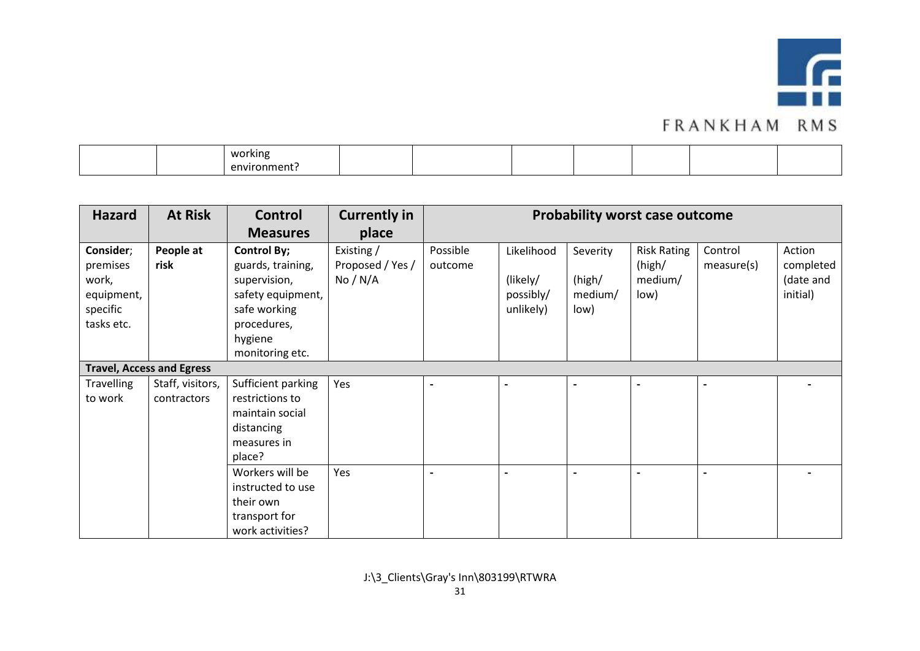

|  | working      |  |  |  |  |
|--|--------------|--|--|--|--|
|  | environment. |  |  |  |  |

| <b>Hazard</b>                                                          | <b>At Risk</b>                   | <b>Control</b>                                                                                                                            | <b>Currently in</b>                        | <b>Probability worst case outcome</b> |                                                  |                                       |                                                 |                       |                                              |
|------------------------------------------------------------------------|----------------------------------|-------------------------------------------------------------------------------------------------------------------------------------------|--------------------------------------------|---------------------------------------|--------------------------------------------------|---------------------------------------|-------------------------------------------------|-----------------------|----------------------------------------------|
|                                                                        |                                  | <b>Measures</b>                                                                                                                           | place                                      |                                       |                                                  |                                       |                                                 |                       |                                              |
| Consider;<br>premises<br>work,<br>equipment,<br>specific<br>tasks etc. | People at<br>risk                | <b>Control By;</b><br>guards, training,<br>supervision,<br>safety equipment,<br>safe working<br>procedures,<br>hygiene<br>monitoring etc. | Existing /<br>Proposed / Yes /<br>No / N/A | Possible<br>outcome                   | Likelihood<br>(likely/<br>possibly/<br>unlikely) | Severity<br>(high/<br>medium/<br>low) | <b>Risk Rating</b><br>(high/<br>medium/<br>low) | Control<br>measure(s) | Action<br>completed<br>(date and<br>initial) |
|                                                                        | <b>Travel, Access and Egress</b> |                                                                                                                                           |                                            |                                       |                                                  |                                       |                                                 |                       |                                              |
| <b>Travelling</b><br>to work                                           | Staff, visitors,<br>contractors  | Sufficient parking<br>restrictions to<br>maintain social<br>distancing<br>measures in<br>place?                                           | Yes                                        | $\overline{\phantom{a}}$              |                                                  | $\overline{\phantom{a}}$              | $\overline{\phantom{a}}$                        | $\blacksquare$        |                                              |
|                                                                        |                                  | Workers will be<br>instructed to use<br>their own<br>transport for<br>work activities?                                                    | Yes                                        | $\overline{\phantom{a}}$              |                                                  | $\blacksquare$                        |                                                 | ٠                     |                                              |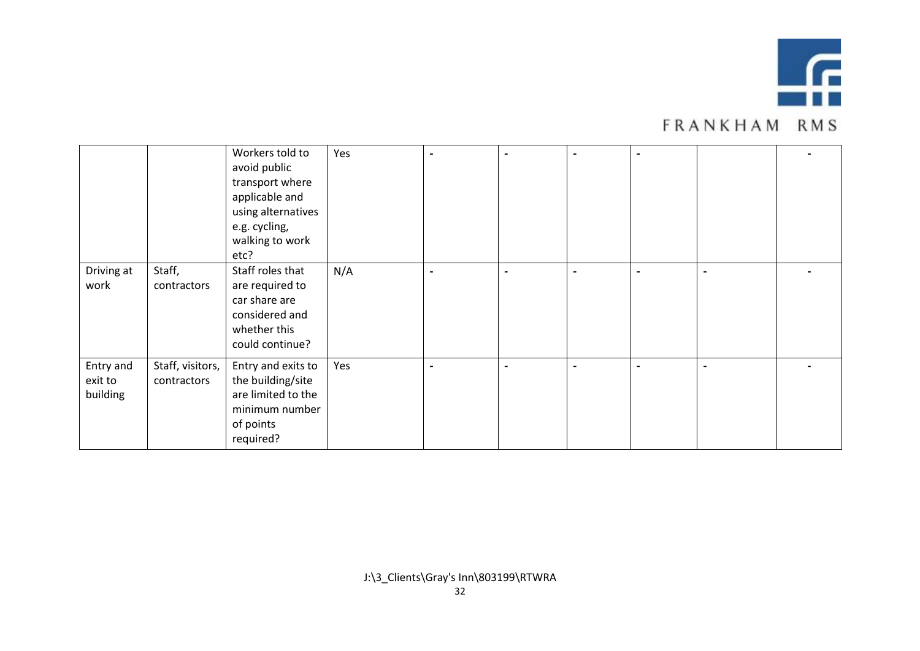

|                                  |                                 | Workers told to<br>avoid public<br>transport where<br>applicable and<br>using alternatives<br>e.g. cycling,<br>walking to work<br>etc? | Yes | $\blacksquare$ | $\qquad \qquad \blacksquare$ |                          |  |
|----------------------------------|---------------------------------|----------------------------------------------------------------------------------------------------------------------------------------|-----|----------------|------------------------------|--------------------------|--|
| Driving at<br>work               | Staff,<br>contractors           | Staff roles that<br>are required to<br>car share are<br>considered and<br>whether this<br>could continue?                              | N/A | $\blacksquare$ | $\blacksquare$               | $\overline{\phantom{0}}$ |  |
| Entry and<br>exit to<br>building | Staff, visitors,<br>contractors | Entry and exits to<br>the building/site<br>are limited to the<br>minimum number<br>of points<br>required?                              | Yes | $\blacksquare$ | $\overline{\phantom{a}}$     |                          |  |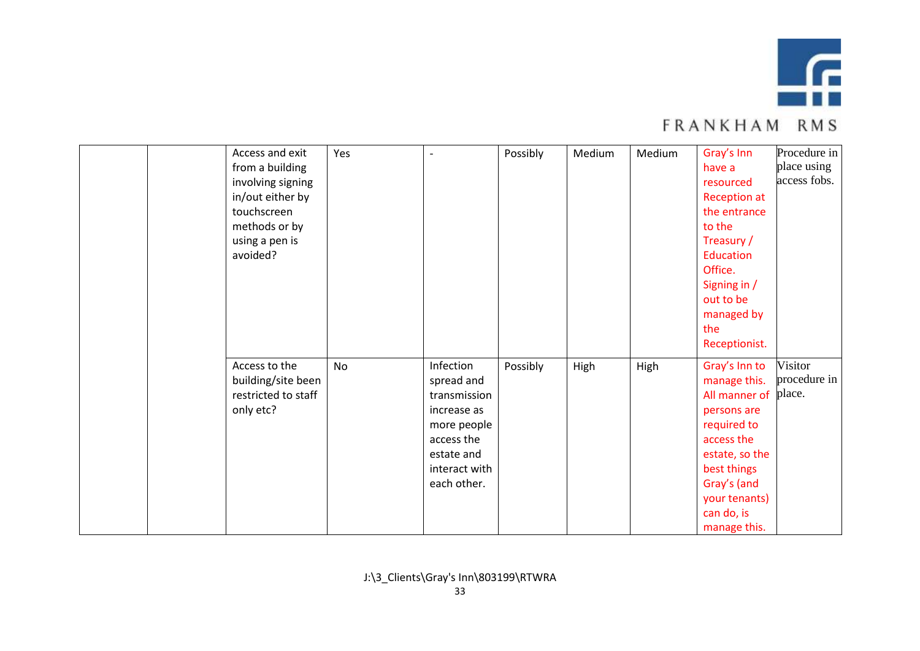

| Access and exit<br>from a building<br>involving signing<br>in/out either by<br>touchscreen<br>methods or by<br>using a pen is<br>avoided? | Yes       | $\blacksquare$                                                                                                                    | Possibly | Medium | Medium | Gray's Inn<br>have a<br>resourced<br><b>Reception at</b><br>the entrance<br>to the<br>Treasury /<br>Education<br>Office.<br>Signing in /<br>out to be<br>managed by<br>the<br>Receptionist. | Procedure in<br>place using<br>access fobs. |
|-------------------------------------------------------------------------------------------------------------------------------------------|-----------|-----------------------------------------------------------------------------------------------------------------------------------|----------|--------|--------|---------------------------------------------------------------------------------------------------------------------------------------------------------------------------------------------|---------------------------------------------|
| Access to the<br>building/site been<br>restricted to staff<br>only etc?                                                                   | <b>No</b> | Infection<br>spread and<br>transmission<br>increase as<br>more people<br>access the<br>estate and<br>interact with<br>each other. | Possibly | High   | High   | Gray's Inn to<br>manage this.<br>All manner of<br>persons are<br>required to<br>access the<br>estate, so the<br>best things<br>Gray's (and<br>your tenants)<br>can do, is<br>manage this.   | Visitor<br>procedure in<br>place.           |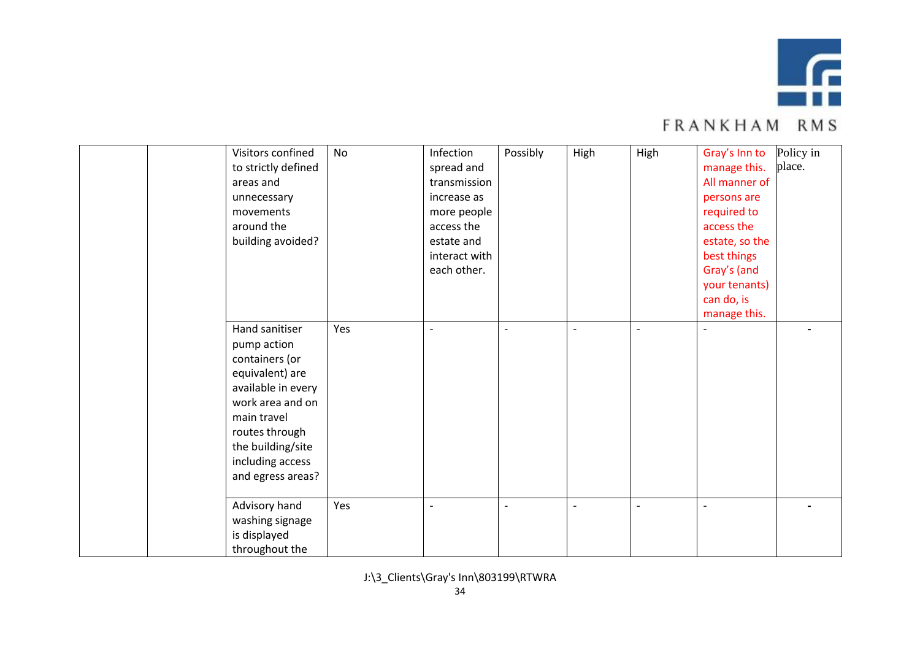

|  | Visitors confined<br>to strictly defined<br>areas and<br>unnecessary<br>movements<br>around the<br>building avoided?                                                                                        | No  | Infection<br>spread and<br>transmission<br>increase as<br>more people<br>access the<br>estate and<br>interact with<br>each other. | Possibly | High                     | High                     | Gray's Inn to<br>manage this.<br>All manner of<br>persons are<br>required to<br>access the<br>estate, so the<br>best things<br>Gray's (and<br>your tenants)<br>can do, is<br>manage this. | Policy in<br>place. |
|--|-------------------------------------------------------------------------------------------------------------------------------------------------------------------------------------------------------------|-----|-----------------------------------------------------------------------------------------------------------------------------------|----------|--------------------------|--------------------------|-------------------------------------------------------------------------------------------------------------------------------------------------------------------------------------------|---------------------|
|  | Hand sanitiser<br>pump action<br>containers (or<br>equivalent) are<br>available in every<br>work area and on<br>main travel<br>routes through<br>the building/site<br>including access<br>and egress areas? | Yes | $\overline{\phantom{a}}$                                                                                                          |          | $\sim$                   | $\overline{\phantom{a}}$ |                                                                                                                                                                                           |                     |
|  | Advisory hand<br>washing signage<br>is displayed<br>throughout the                                                                                                                                          | Yes | $\overline{\phantom{a}}$                                                                                                          |          | $\overline{\phantom{a}}$ |                          |                                                                                                                                                                                           |                     |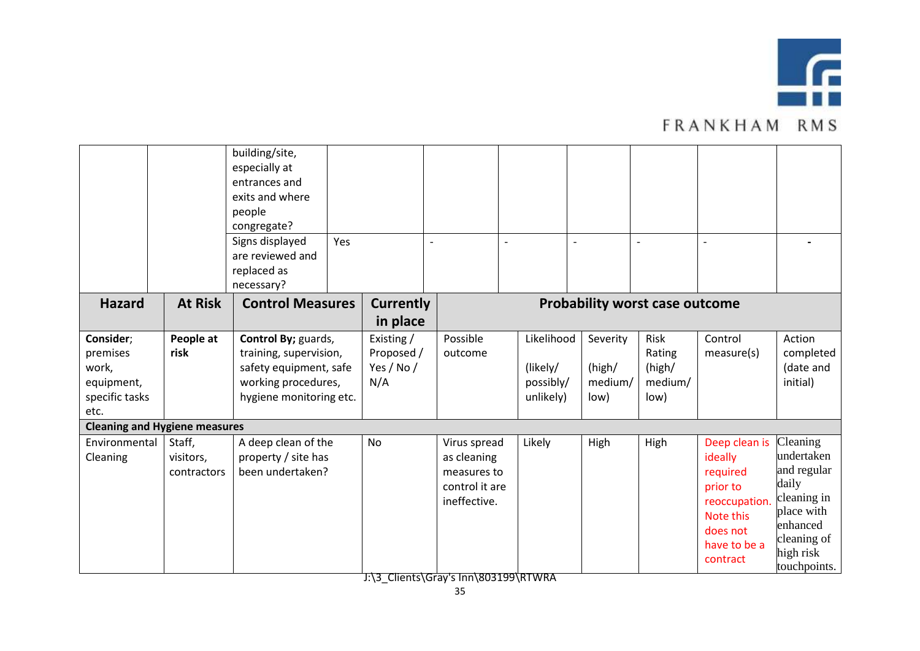

|                                                                        |                                    | building/site,<br>especially at<br>entrances and<br>exits and where<br>people<br>congregate?<br>Signs displayed<br>are reviewed and<br>replaced as<br>necessary? | Yes |                                               | $\overline{a}$                                                               |                                                  |                                       |                                             |                                                                                                                        |                                                                                                                                     |
|------------------------------------------------------------------------|------------------------------------|------------------------------------------------------------------------------------------------------------------------------------------------------------------|-----|-----------------------------------------------|------------------------------------------------------------------------------|--------------------------------------------------|---------------------------------------|---------------------------------------------|------------------------------------------------------------------------------------------------------------------------|-------------------------------------------------------------------------------------------------------------------------------------|
| <b>Hazard</b>                                                          | <b>At Risk</b>                     | <b>Control Measures</b>                                                                                                                                          |     | <b>Currently</b><br>in place                  |                                                                              |                                                  |                                       | <b>Probability worst case outcome</b>       |                                                                                                                        |                                                                                                                                     |
| Consider;<br>premises<br>work,<br>equipment,<br>specific tasks<br>etc. | People at<br>risk                  | Control By; guards,<br>training, supervision,<br>safety equipment, safe<br>working procedures,<br>hygiene monitoring etc.                                        |     | Existing /<br>Proposed /<br>Yes / No /<br>N/A | Possible<br>outcome                                                          | Likelihood<br>(likely/<br>possibly/<br>unlikely) | Severity<br>(high/<br>medium/<br>low) | Risk<br>Rating<br>(high/<br>medium/<br>low) | Control<br>measure(s)                                                                                                  | Action<br>completed<br>(date and<br>initial)                                                                                        |
| <b>Cleaning and Hygiene measures</b><br>Environmental<br>Cleaning      | Staff,<br>visitors,<br>contractors | A deep clean of the<br>property / site has<br>been undertaken?                                                                                                   |     | <b>No</b>                                     | Virus spread<br>as cleaning<br>measures to<br>control it are<br>ineffective. | Likely                                           | High                                  | High                                        | Deep clean is<br>ideally<br>required<br>prior to<br>reoccupation.<br>Note this<br>does not<br>have to be a<br>contract | Cleaning<br>undertaken<br>and regular<br>daily<br>cleaning in<br>place with<br>enhanced<br>cleaning of<br>high risk<br>touchpoints. |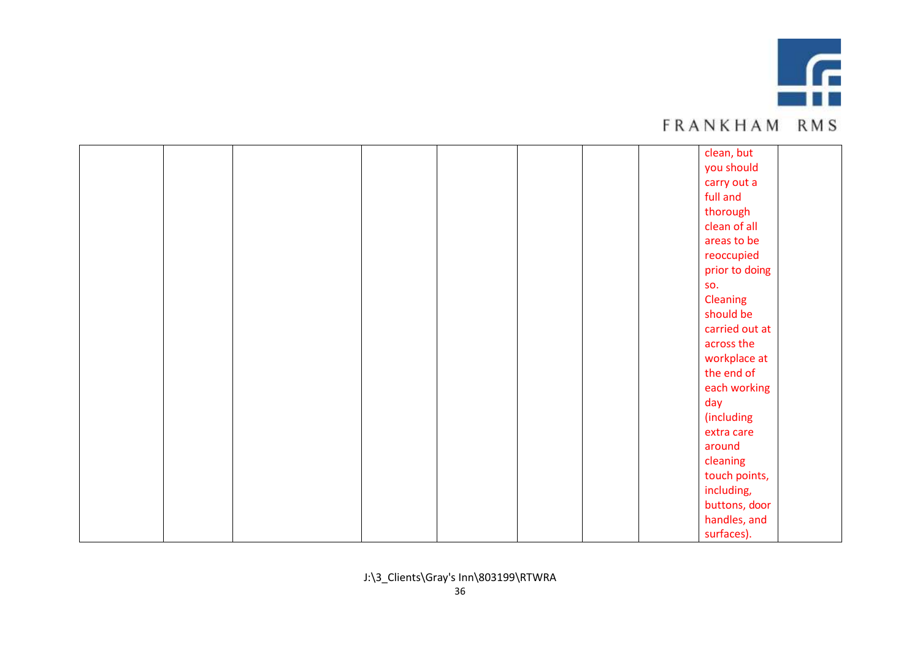

|  |  |  | <b>FRANKHAM RMS</b> |
|--|--|--|---------------------|
|--|--|--|---------------------|

|  |  |  |  | clean, but     |  |
|--|--|--|--|----------------|--|
|  |  |  |  | you should     |  |
|  |  |  |  | carry out a    |  |
|  |  |  |  | full and       |  |
|  |  |  |  | thorough       |  |
|  |  |  |  | clean of all   |  |
|  |  |  |  | areas to be    |  |
|  |  |  |  | reoccupied     |  |
|  |  |  |  | prior to doing |  |
|  |  |  |  | SO.            |  |
|  |  |  |  | Cleaning       |  |
|  |  |  |  | should be      |  |
|  |  |  |  | carried out at |  |
|  |  |  |  | across the     |  |
|  |  |  |  | workplace at   |  |
|  |  |  |  | the end of     |  |
|  |  |  |  | each working   |  |
|  |  |  |  | day            |  |
|  |  |  |  | (including     |  |
|  |  |  |  | extra care     |  |
|  |  |  |  | around         |  |
|  |  |  |  | cleaning       |  |
|  |  |  |  | touch points,  |  |
|  |  |  |  | including,     |  |
|  |  |  |  | buttons, door  |  |
|  |  |  |  | handles, and   |  |
|  |  |  |  | surfaces).     |  |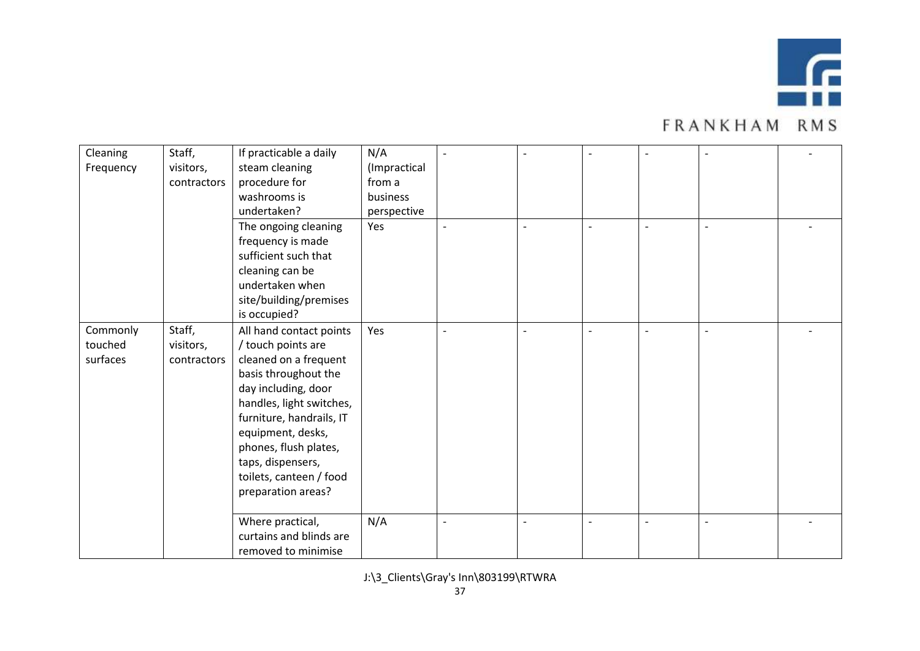

| Cleaning<br>Frequency | Staff,<br>visitors, | If practicable a daily<br>steam cleaning | N/A<br>(Impractical |  |                          | $\blacksquare$           |  |
|-----------------------|---------------------|------------------------------------------|---------------------|--|--------------------------|--------------------------|--|
|                       | contractors         | procedure for                            | from a              |  |                          |                          |  |
|                       |                     | washrooms is                             | business            |  |                          |                          |  |
|                       |                     | undertaken?                              | perspective         |  |                          |                          |  |
|                       |                     | The ongoing cleaning                     | Yes                 |  | $\overline{a}$           | $\overline{\phantom{a}}$ |  |
|                       |                     | frequency is made                        |                     |  |                          |                          |  |
|                       |                     | sufficient such that                     |                     |  |                          |                          |  |
|                       |                     | cleaning can be                          |                     |  |                          |                          |  |
|                       |                     | undertaken when                          |                     |  |                          |                          |  |
|                       |                     | site/building/premises                   |                     |  |                          |                          |  |
|                       |                     | is occupied?                             |                     |  |                          |                          |  |
| Commonly              | Staff,              | All hand contact points                  | Yes                 |  | $\blacksquare$           | $\overline{\phantom{a}}$ |  |
| touched               | visitors,           | / touch points are                       |                     |  |                          |                          |  |
| surfaces              | contractors         | cleaned on a frequent                    |                     |  |                          |                          |  |
|                       |                     | basis throughout the                     |                     |  |                          |                          |  |
|                       |                     | day including, door                      |                     |  |                          |                          |  |
|                       |                     | handles, light switches,                 |                     |  |                          |                          |  |
|                       |                     | furniture, handrails, IT                 |                     |  |                          |                          |  |
|                       |                     | equipment, desks,                        |                     |  |                          |                          |  |
|                       |                     | phones, flush plates,                    |                     |  |                          |                          |  |
|                       |                     | taps, dispensers,                        |                     |  |                          |                          |  |
|                       |                     | toilets, canteen / food                  |                     |  |                          |                          |  |
|                       |                     | preparation areas?                       |                     |  |                          |                          |  |
|                       |                     |                                          |                     |  |                          |                          |  |
|                       |                     | Where practical,                         | N/A                 |  | $\overline{\phantom{a}}$ | $\overline{\phantom{a}}$ |  |
|                       |                     | curtains and blinds are                  |                     |  |                          |                          |  |
|                       |                     | removed to minimise                      |                     |  |                          |                          |  |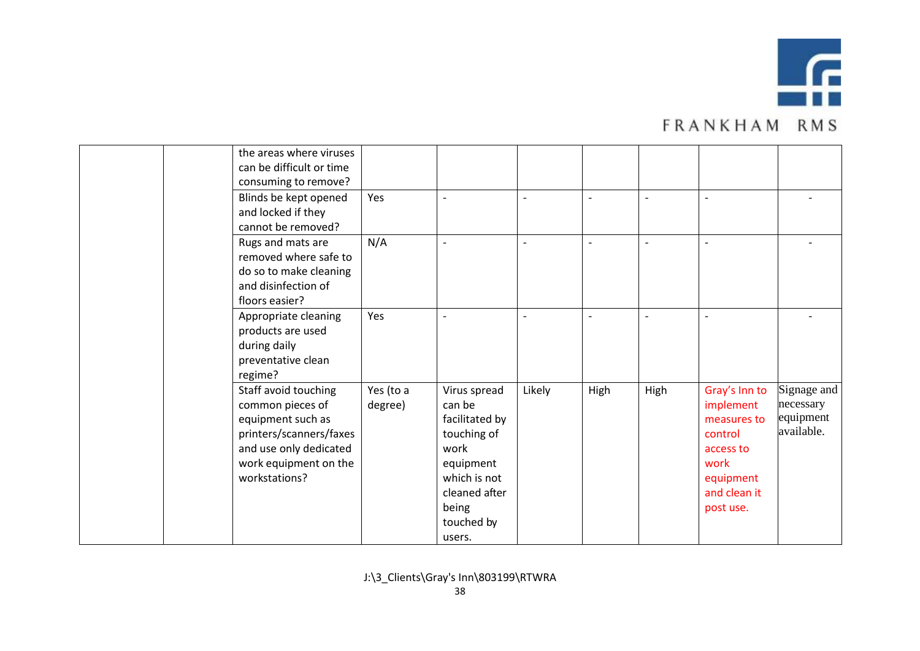

|  | the areas where viruses<br>can be difficult or time<br>consuming to remove?                                                                                  |                      |                                                                                                                                                |                          |      |                |                                                                                                                     |                                                     |
|--|--------------------------------------------------------------------------------------------------------------------------------------------------------------|----------------------|------------------------------------------------------------------------------------------------------------------------------------------------|--------------------------|------|----------------|---------------------------------------------------------------------------------------------------------------------|-----------------------------------------------------|
|  | Blinds be kept opened<br>and locked if they<br>cannot be removed?                                                                                            | Yes                  |                                                                                                                                                | $\overline{\phantom{a}}$ |      |                |                                                                                                                     |                                                     |
|  | Rugs and mats are<br>removed where safe to<br>do so to make cleaning<br>and disinfection of<br>floors easier?                                                | N/A                  |                                                                                                                                                | $\overline{\phantom{a}}$ |      | $\blacksquare$ | $\overline{\phantom{0}}$                                                                                            |                                                     |
|  | Appropriate cleaning<br>products are used<br>during daily<br>preventative clean<br>regime?                                                                   | Yes                  |                                                                                                                                                | $\overline{a}$           |      | $\blacksquare$ | $\overline{\phantom{0}}$                                                                                            |                                                     |
|  | Staff avoid touching<br>common pieces of<br>equipment such as<br>printers/scanners/faxes<br>and use only dedicated<br>work equipment on the<br>workstations? | Yes (to a<br>degree) | Virus spread<br>can be<br>facilitated by<br>touching of<br>work<br>equipment<br>which is not<br>cleaned after<br>being<br>touched by<br>users. | Likely                   | High | High           | Gray's Inn to<br>implement<br>measures to<br>control<br>access to<br>work<br>equipment<br>and clean it<br>post use. | Signage and<br>necessary<br>equipment<br>available. |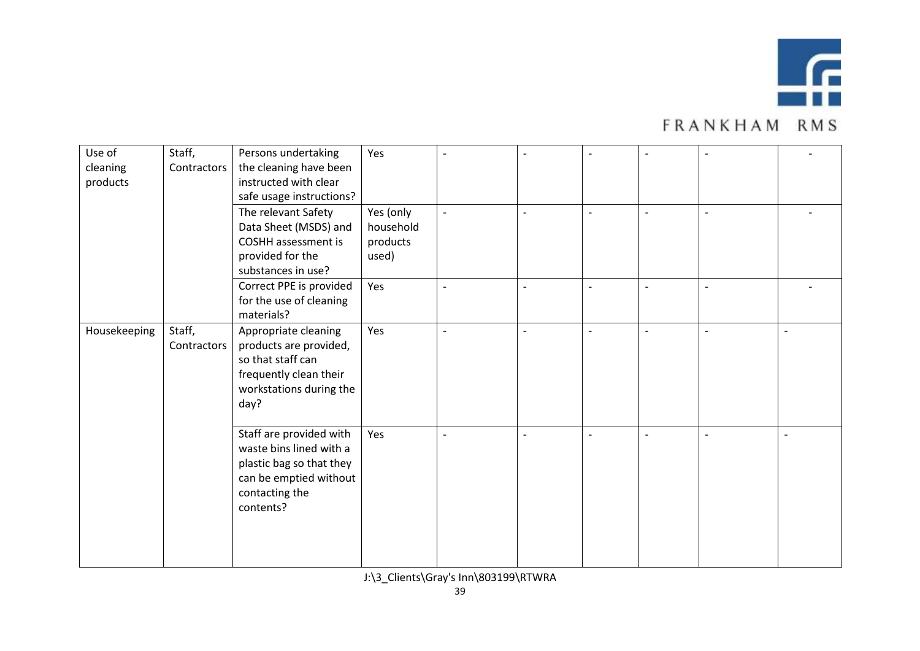

| Use of       | Staff,      | Persons undertaking        | Yes       |                          | $\overline{a}$ | $\overline{a}$           | $\overline{\phantom{a}}$ | $\overline{\phantom{a}}$ |  |
|--------------|-------------|----------------------------|-----------|--------------------------|----------------|--------------------------|--------------------------|--------------------------|--|
| cleaning     | Contractors | the cleaning have been     |           |                          |                |                          |                          |                          |  |
| products     |             | instructed with clear      |           |                          |                |                          |                          |                          |  |
|              |             | safe usage instructions?   |           |                          |                |                          |                          |                          |  |
|              |             | The relevant Safety        | Yes (only | $\overline{\phantom{a}}$ | $\overline{a}$ | $\overline{\phantom{a}}$ | $\overline{\phantom{a}}$ | $\overline{\phantom{a}}$ |  |
|              |             | Data Sheet (MSDS) and      | household |                          |                |                          |                          |                          |  |
|              |             | <b>COSHH</b> assessment is | products  |                          |                |                          |                          |                          |  |
|              |             | provided for the           | used)     |                          |                |                          |                          |                          |  |
|              |             | substances in use?         |           |                          |                |                          |                          |                          |  |
|              |             | Correct PPE is provided    | Yes       | $\overline{a}$           | $\blacksquare$ | $\overline{\phantom{a}}$ | $\blacksquare$           | $\overline{\phantom{a}}$ |  |
|              |             | for the use of cleaning    |           |                          |                |                          |                          |                          |  |
|              |             | materials?                 |           |                          |                |                          |                          |                          |  |
| Housekeeping | Staff,      | Appropriate cleaning       | Yes       |                          |                | $\overline{\phantom{a}}$ |                          | $\overline{\phantom{a}}$ |  |
|              | Contractors | products are provided,     |           |                          |                |                          |                          |                          |  |
|              |             | so that staff can          |           |                          |                |                          |                          |                          |  |
|              |             | frequently clean their     |           |                          |                |                          |                          |                          |  |
|              |             | workstations during the    |           |                          |                |                          |                          |                          |  |
|              |             | day?                       |           |                          |                |                          |                          |                          |  |
|              |             |                            |           |                          |                |                          |                          |                          |  |
|              |             | Staff are provided with    | Yes       |                          | $\overline{a}$ | $\overline{\phantom{a}}$ | $\overline{a}$           | $\overline{a}$           |  |
|              |             | waste bins lined with a    |           |                          |                |                          |                          |                          |  |
|              |             | plastic bag so that they   |           |                          |                |                          |                          |                          |  |
|              |             | can be emptied without     |           |                          |                |                          |                          |                          |  |
|              |             | contacting the             |           |                          |                |                          |                          |                          |  |
|              |             | contents?                  |           |                          |                |                          |                          |                          |  |
|              |             |                            |           |                          |                |                          |                          |                          |  |
|              |             |                            |           |                          |                |                          |                          |                          |  |
|              |             |                            |           |                          |                |                          |                          |                          |  |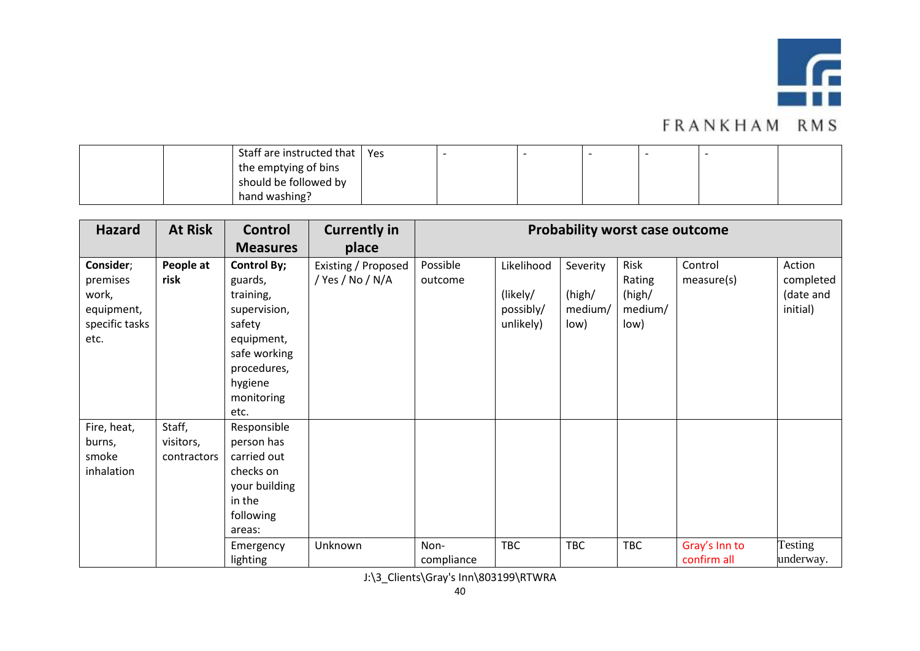

| Staff are instructed that   Yes |  |  |  |  |
|---------------------------------|--|--|--|--|
| the emptying of bins            |  |  |  |  |
| should be followed by           |  |  |  |  |
| hand washing?                   |  |  |  |  |

| <b>Hazard</b>                                                          | <b>At Risk</b>                     | <b>Control</b>                                                                                                                                     | <b>Currently in</b>                     |                     |                                                  |                                       | <b>Probability worst case outcome</b>       |                       |                                              |
|------------------------------------------------------------------------|------------------------------------|----------------------------------------------------------------------------------------------------------------------------------------------------|-----------------------------------------|---------------------|--------------------------------------------------|---------------------------------------|---------------------------------------------|-----------------------|----------------------------------------------|
|                                                                        |                                    | <b>Measures</b>                                                                                                                                    | place                                   |                     |                                                  |                                       |                                             |                       |                                              |
| Consider;<br>premises<br>work,<br>equipment,<br>specific tasks<br>etc. | People at<br>risk                  | <b>Control By;</b><br>guards,<br>training,<br>supervision,<br>safety<br>equipment,<br>safe working<br>procedures,<br>hygiene<br>monitoring<br>etc. | Existing / Proposed<br>/ Yes / No / N/A | Possible<br>outcome | Likelihood<br>(likely/<br>possibly/<br>unlikely) | Severity<br>(high/<br>medium/<br>low) | Risk<br>Rating<br>(high/<br>medium/<br>low) | Control<br>measure(s) | Action<br>completed<br>(date and<br>initial) |
| Fire, heat,<br>burns,<br>smoke<br>inhalation                           | Staff,<br>visitors,<br>contractors | Responsible<br>person has<br>carried out<br>checks on<br>your building<br>in the<br>following<br>areas:<br>Emergency                               | Unknown                                 | Non-                | <b>TBC</b>                                       | <b>TBC</b>                            | <b>TBC</b>                                  | Gray's Inn to         | Testing                                      |
|                                                                        |                                    | lighting                                                                                                                                           |                                         | compliance          |                                                  |                                       |                                             | confirm all           | underway.                                    |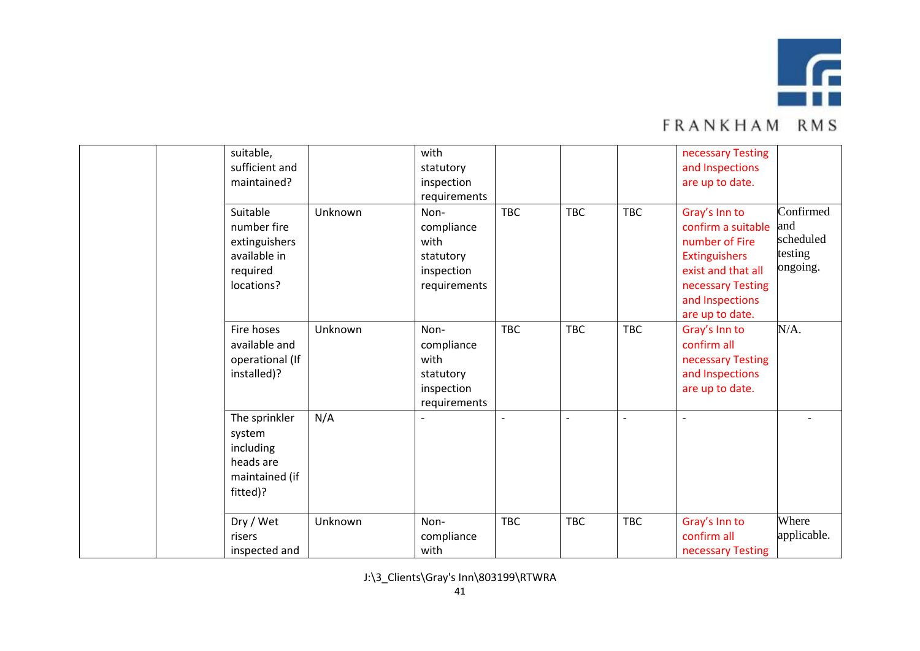

| suitable,<br>sufficient and<br>maintained?                                         |         | with<br>statutory<br>inspection<br>requirements                       |                          |                          |            | necessary Testing<br>and Inspections<br>are up to date.                                                                                                 |                                                      |
|------------------------------------------------------------------------------------|---------|-----------------------------------------------------------------------|--------------------------|--------------------------|------------|---------------------------------------------------------------------------------------------------------------------------------------------------------|------------------------------------------------------|
| Suitable<br>number fire<br>extinguishers<br>available in<br>required<br>locations? | Unknown | Non-<br>compliance<br>with<br>statutory<br>inspection<br>requirements | <b>TBC</b>               | <b>TBC</b>               | <b>TBC</b> | Gray's Inn to<br>confirm a suitable<br>number of Fire<br>Extinguishers<br>exist and that all<br>necessary Testing<br>and Inspections<br>are up to date. | Confirmed<br>and<br>scheduled<br>testing<br>ongoing. |
| Fire hoses<br>available and<br>operational (If<br>installed)?                      | Unknown | Non-<br>compliance<br>with<br>statutory<br>inspection<br>requirements | <b>TBC</b>               | <b>TBC</b>               | <b>TBC</b> | Gray's Inn to<br>confirm all<br>necessary Testing<br>and Inspections<br>are up to date.                                                                 | N/A.                                                 |
| The sprinkler<br>system<br>including<br>heads are<br>maintained (if<br>fitted)?    | N/A     |                                                                       | $\overline{\phantom{a}}$ | $\overline{\phantom{0}}$ | $\sim$     | $\blacksquare$                                                                                                                                          |                                                      |
| Dry / Wet<br>risers<br>inspected and                                               | Unknown | Non-<br>compliance<br>with                                            | <b>TBC</b>               | <b>TBC</b>               | <b>TBC</b> | Gray's Inn to<br>confirm all<br>necessary Testing                                                                                                       | Where<br>applicable.                                 |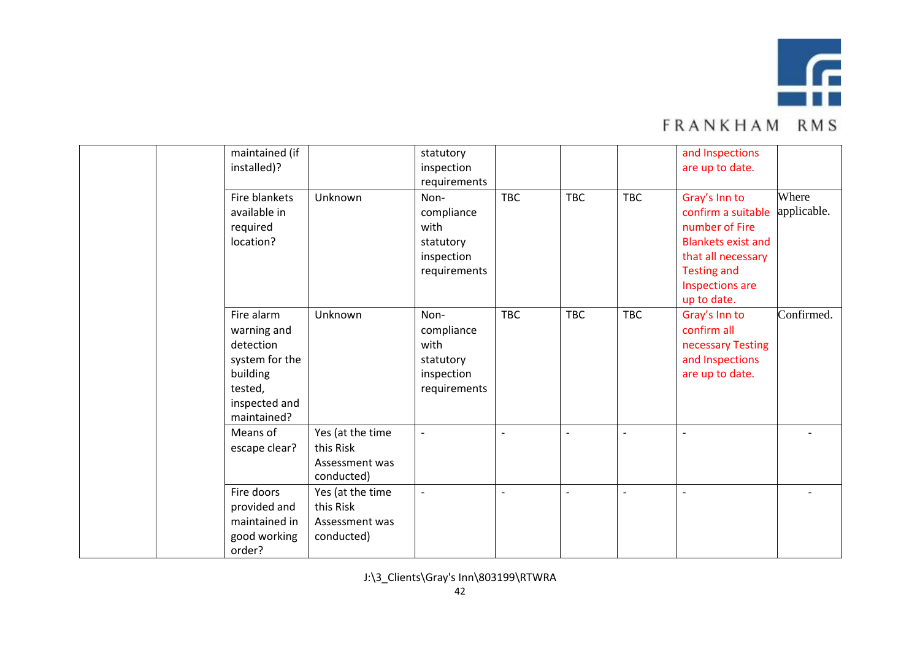

|  | maintained (if<br>installed)?                                                                                   |                                                               | statutory<br>inspection<br>requirements                               |                          |            |                          | and Inspections<br>are up to date.                                                                                                                               |                      |
|--|-----------------------------------------------------------------------------------------------------------------|---------------------------------------------------------------|-----------------------------------------------------------------------|--------------------------|------------|--------------------------|------------------------------------------------------------------------------------------------------------------------------------------------------------------|----------------------|
|  | Fire blankets<br>available in<br>required<br>location?                                                          | Unknown                                                       | Non-<br>compliance<br>with<br>statutory<br>inspection<br>requirements | <b>TBC</b>               | <b>TBC</b> | <b>TBC</b>               | Gray's Inn to<br>confirm a suitable<br>number of Fire<br><b>Blankets exist and</b><br>that all necessary<br><b>Testing and</b><br>Inspections are<br>up to date. | Where<br>applicable. |
|  | Fire alarm<br>warning and<br>detection<br>system for the<br>building<br>tested,<br>inspected and<br>maintained? | Unknown                                                       | Non-<br>compliance<br>with<br>statutory<br>inspection<br>requirements | <b>TBC</b>               | <b>TBC</b> | <b>TBC</b>               | Gray's Inn to<br>confirm all<br>necessary Testing<br>and Inspections<br>are up to date.                                                                          | Confirmed.           |
|  | Means of<br>escape clear?                                                                                       | Yes (at the time<br>this Risk<br>Assessment was<br>conducted) | $\overline{\phantom{a}}$                                              | $\overline{\phantom{a}}$ |            | $\overline{\phantom{a}}$ | $\blacksquare$                                                                                                                                                   |                      |
|  | Fire doors<br>provided and<br>maintained in<br>good working<br>order?                                           | Yes (at the time<br>this Risk<br>Assessment was<br>conducted) | $\overline{\phantom{a}}$                                              | $\overline{\phantom{a}}$ |            | $\sim$                   | $\overline{a}$                                                                                                                                                   |                      |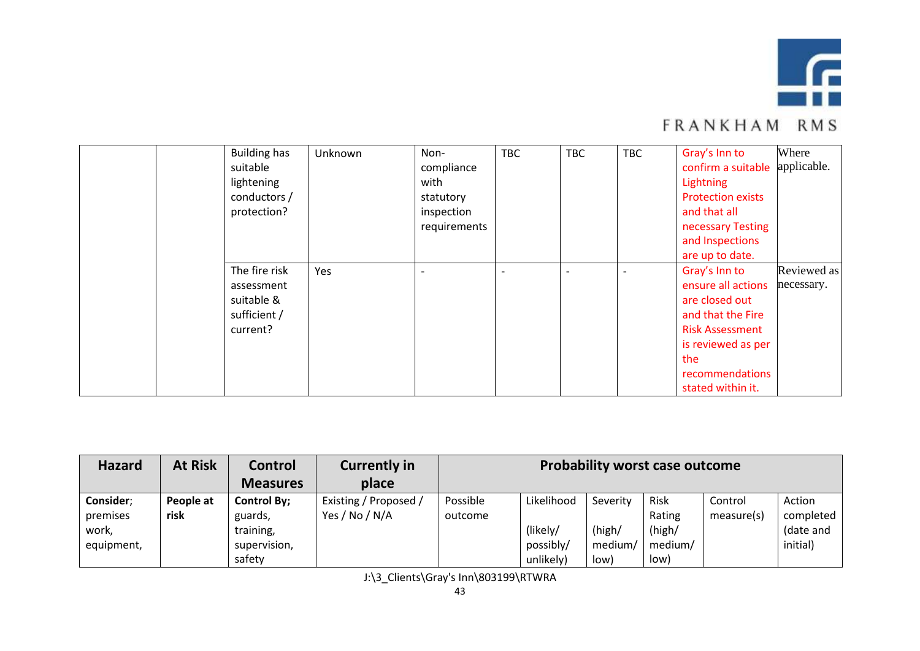

| <b>Building has</b><br>suitable<br>lightening<br>conductors /<br>protection? | Unknown | Non-<br>compliance<br>with<br>statutory<br>inspection<br>requirements | <b>TBC</b> | <b>TBC</b> | <b>TBC</b> | Gray's Inn to<br>confirm a suitable<br>Lightning<br><b>Protection exists</b><br>and that all<br>necessary Testing<br>and Inspections<br>are up to date.                   | Where<br>applicable.      |
|------------------------------------------------------------------------------|---------|-----------------------------------------------------------------------|------------|------------|------------|---------------------------------------------------------------------------------------------------------------------------------------------------------------------------|---------------------------|
| The fire risk<br>assessment<br>suitable &<br>sufficient /<br>current?        | Yes     |                                                                       |            |            |            | Gray's Inn to<br>ensure all actions<br>are closed out<br>and that the Fire<br><b>Risk Assessment</b><br>is reviewed as per<br>the<br>recommendations<br>stated within it. | Reviewed as<br>necessary. |

| <b>Hazard</b> | <b>At Risk</b> | Control            | <b>Currently in</b>   | <b>Probability worst case outcome</b> |            |          |         |            |           |  |  |
|---------------|----------------|--------------------|-----------------------|---------------------------------------|------------|----------|---------|------------|-----------|--|--|
|               |                | <b>Measures</b>    | place                 |                                       |            |          |         |            |           |  |  |
| Consider;     | People at      | <b>Control By;</b> | Existing / Proposed / | Possible                              | Likelihood | Severity | Risk    | Control    | Action    |  |  |
| premises      | risk           | guards,            | Yes / No / N/A        | outcome                               |            |          | Rating  | measure(s) | completed |  |  |
| work,         |                | training,          |                       |                                       | (likely/   | (high/   | (high/  |            | (date and |  |  |
| equipment,    |                | supervision,       |                       |                                       | possibly/  | medium/  | medium/ |            | initial)  |  |  |
|               |                | safety             |                       |                                       | unlikely)  | low)     | low)    |            |           |  |  |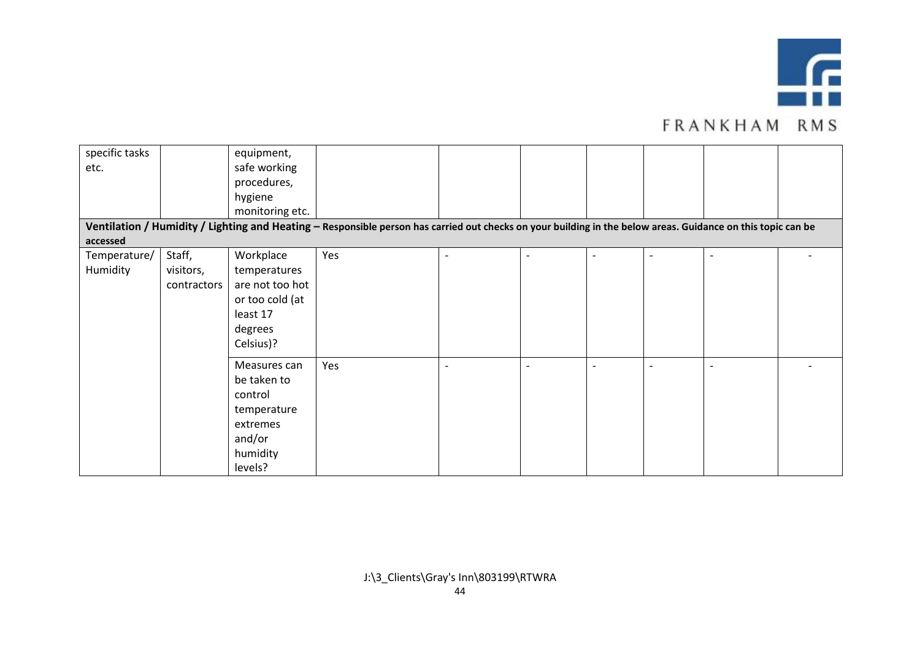

| specific tasks |             | equipment,      |                                                                                                                                                              |  |  |  |
|----------------|-------------|-----------------|--------------------------------------------------------------------------------------------------------------------------------------------------------------|--|--|--|
| etc.           |             | safe working    |                                                                                                                                                              |  |  |  |
|                |             | procedures,     |                                                                                                                                                              |  |  |  |
|                |             | hygiene         |                                                                                                                                                              |  |  |  |
|                |             | monitoring etc. |                                                                                                                                                              |  |  |  |
|                |             |                 | Ventilation / Humidity / Lighting and Heating - Responsible person has carried out checks on your building in the below areas. Guidance on this topic can be |  |  |  |
| accessed       |             |                 |                                                                                                                                                              |  |  |  |
| Temperature/   | Staff,      | Workplace       | Yes                                                                                                                                                          |  |  |  |
| Humidity       | visitors,   | temperatures    |                                                                                                                                                              |  |  |  |
|                | contractors | are not too hot |                                                                                                                                                              |  |  |  |
|                |             | or too cold (at |                                                                                                                                                              |  |  |  |
|                |             | least 17        |                                                                                                                                                              |  |  |  |
|                |             | degrees         |                                                                                                                                                              |  |  |  |
|                |             | Celsius)?       |                                                                                                                                                              |  |  |  |
|                |             | Measures can    | Yes                                                                                                                                                          |  |  |  |
|                |             | be taken to     |                                                                                                                                                              |  |  |  |
|                |             | control         |                                                                                                                                                              |  |  |  |
|                |             | temperature     |                                                                                                                                                              |  |  |  |
|                |             | extremes        |                                                                                                                                                              |  |  |  |
|                |             | and/or          |                                                                                                                                                              |  |  |  |
|                |             | humidity        |                                                                                                                                                              |  |  |  |
|                |             | levels?         |                                                                                                                                                              |  |  |  |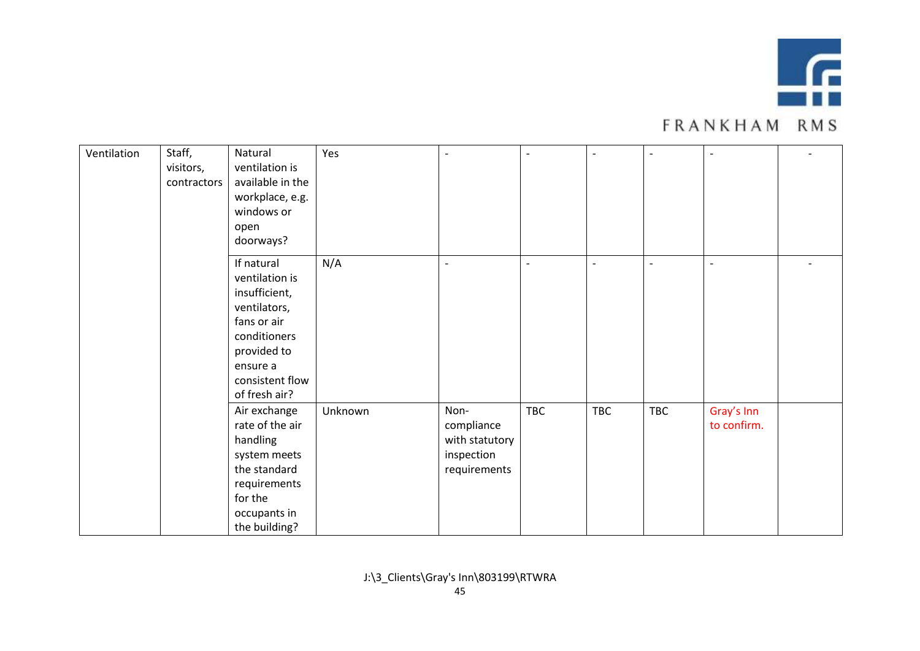

| Ventilation | Staff,<br>visitors,<br>contractors | Natural<br>ventilation is<br>available in the<br>workplace, e.g.<br>windows or<br>open                                                                                   | Yes     |                                                                    |                | $\overline{\phantom{a}}$ | $\blacksquare$ | $\blacksquare$            |  |
|-------------|------------------------------------|--------------------------------------------------------------------------------------------------------------------------------------------------------------------------|---------|--------------------------------------------------------------------|----------------|--------------------------|----------------|---------------------------|--|
|             |                                    | doorways?<br>If natural<br>ventilation is<br>insufficient,<br>ventilators,<br>fans or air<br>conditioners<br>provided to<br>ensure a<br>consistent flow<br>of fresh air? | N/A     | $\overline{a}$                                                     | $\blacksquare$ | $\overline{\phantom{a}}$ | $\blacksquare$ | $\blacksquare$            |  |
|             |                                    | Air exchange<br>rate of the air<br>handling<br>system meets<br>the standard<br>requirements<br>for the<br>occupants in<br>the building?                                  | Unknown | Non-<br>compliance<br>with statutory<br>inspection<br>requirements | <b>TBC</b>     | <b>TBC</b>               | TBC            | Gray's Inn<br>to confirm. |  |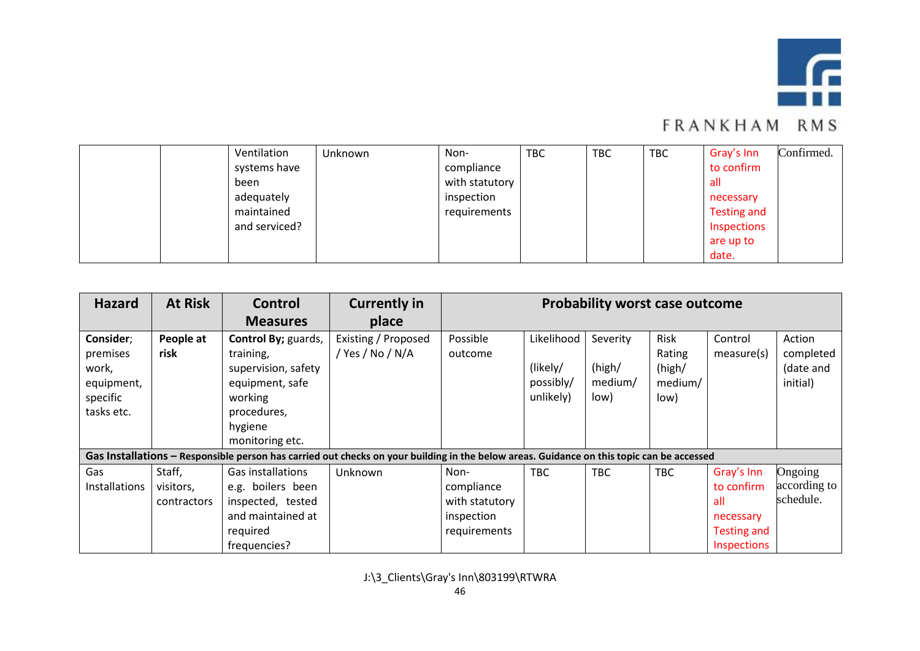

|  | Ventilation   | Unknown | Non-           | <b>TBC</b> | TBC | <b>TBC</b> | Gray's Inn  | Confirmed. |
|--|---------------|---------|----------------|------------|-----|------------|-------------|------------|
|  | systems have  |         | compliance     |            |     |            | to confirm  |            |
|  | been          |         | with statutory |            |     |            | all         |            |
|  | adequately    |         | inspection     |            |     |            | necessary   |            |
|  | maintained    |         | requirements   |            |     |            | Testing and |            |
|  | and serviced? |         |                |            |     |            | Inspections |            |
|  |               |         |                |            |     |            | are up to   |            |
|  |               |         |                |            |     |            | date.       |            |

| <b>Hazard</b>                                                          | <b>At Risk</b>                     | Control<br><b>Measures</b>                                                                                                         | <b>Currently in</b><br>place                                                                                                              | <b>Probability worst case outcome</b>                              |                                                  |                                       |                                             |                                                                            |                                              |  |
|------------------------------------------------------------------------|------------------------------------|------------------------------------------------------------------------------------------------------------------------------------|-------------------------------------------------------------------------------------------------------------------------------------------|--------------------------------------------------------------------|--------------------------------------------------|---------------------------------------|---------------------------------------------|----------------------------------------------------------------------------|----------------------------------------------|--|
| Consider;<br>premises<br>work,<br>equipment,<br>specific<br>tasks etc. | People at<br>risk                  | Control By; guards,<br>training,<br>supervision, safety<br>equipment, safe<br>working<br>procedures,<br>hygiene<br>monitoring etc. | Existing / Proposed<br>/ Yes / No / N/A                                                                                                   | Possible<br>outcome                                                | Likelihood<br>(likely/<br>possibly/<br>unlikely) | Severity<br>(high/<br>medium/<br>low) | Risk<br>Rating<br>(high/<br>medium/<br>low) | Control<br>measure(s)                                                      | Action<br>completed<br>(date and<br>initial) |  |
|                                                                        |                                    |                                                                                                                                    | Gas Installations – Responsible person has carried out checks on your building in the below areas. Guidance on this topic can be accessed |                                                                    |                                                  |                                       |                                             |                                                                            |                                              |  |
| Gas<br><b>Installations</b>                                            | Staff,<br>visitors,<br>contractors | Gas installations<br>e.g. boilers been<br>inspected, tested<br>and maintained at<br>required<br>frequencies?                       | Unknown                                                                                                                                   | Non-<br>compliance<br>with statutory<br>inspection<br>requirements | <b>TBC</b>                                       | <b>TBC</b>                            | <b>TBC</b>                                  | Gray's Inn<br>to confirm<br>all<br>necessary<br>Testing and<br>Inspections | Ongoing<br>according to<br>schedule.         |  |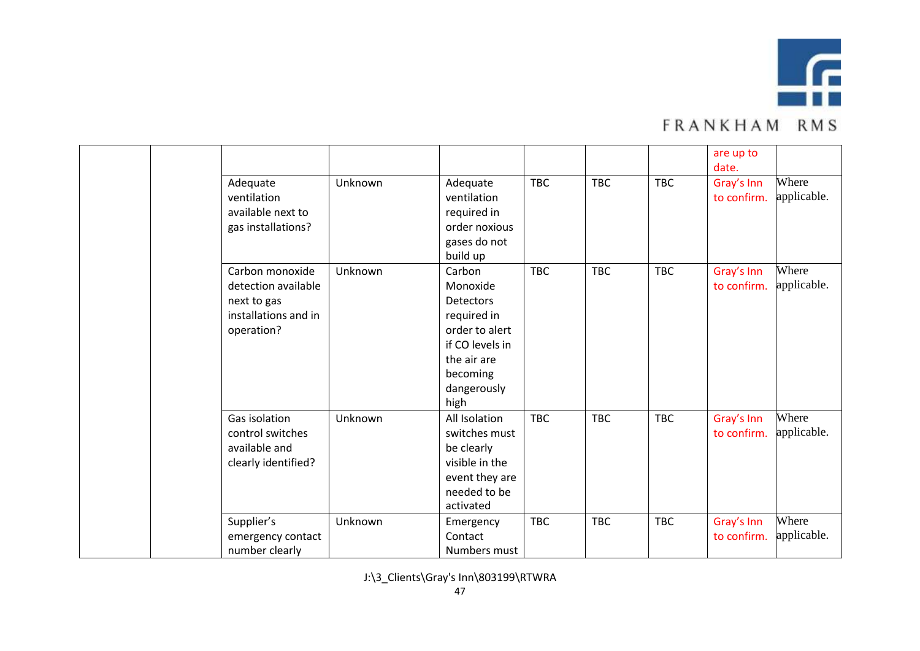

|                                                                                             |         |                                                                                                                                       |            |            |            | are up to<br>date.        |                      |
|---------------------------------------------------------------------------------------------|---------|---------------------------------------------------------------------------------------------------------------------------------------|------------|------------|------------|---------------------------|----------------------|
| Adequate<br>ventilation<br>available next to<br>gas installations?                          | Unknown | Adequate<br>ventilation<br>required in<br>order noxious<br>gases do not<br>build up                                                   | <b>TBC</b> | <b>TBC</b> | <b>TBC</b> | Gray's Inn<br>to confirm. | Where<br>applicable. |
| Carbon monoxide<br>detection available<br>next to gas<br>installations and in<br>operation? | Unknown | Carbon<br>Monoxide<br>Detectors<br>required in<br>order to alert<br>if CO levels in<br>the air are<br>becoming<br>dangerously<br>high | <b>TBC</b> | <b>TBC</b> | <b>TBC</b> | Gray's Inn<br>to confirm. | Where<br>applicable. |
| Gas isolation<br>control switches<br>available and<br>clearly identified?                   | Unknown | All Isolation<br>switches must<br>be clearly<br>visible in the<br>event they are<br>needed to be<br>activated                         | <b>TBC</b> | <b>TBC</b> | <b>TBC</b> | Gray's Inn<br>to confirm. | Where<br>applicable. |
| Supplier's<br>emergency contact<br>number clearly                                           | Unknown | Emergency<br>Contact<br>Numbers must                                                                                                  | <b>TBC</b> | <b>TBC</b> | <b>TBC</b> | Gray's Inn<br>to confirm. | Where<br>applicable. |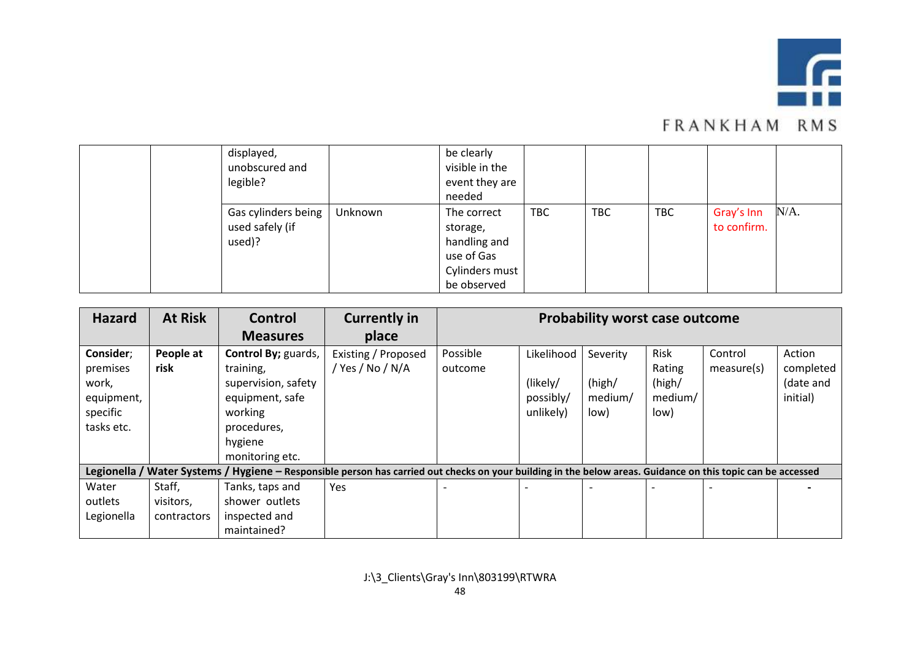

| displayed,<br>unobscured and<br>legible?         |         | be clearly<br>visible in the<br>event they are<br>needed                               |            |            |            |                           |         |
|--------------------------------------------------|---------|----------------------------------------------------------------------------------------|------------|------------|------------|---------------------------|---------|
| Gas cylinders being<br>used safely (if<br>used)? | Unknown | The correct<br>storage,<br>handling and<br>use of Gas<br>Cylinders must<br>be observed | <b>TBC</b> | <b>TBC</b> | <b>TBC</b> | Gray's Inn<br>to confirm. | $N/A$ . |

| <b>Hazard</b>                                                          | <b>At Risk</b>                     | Control                                                                                                                            | <b>Currently in</b>                                                                                                                                          | <b>Probability worst case outcome</b> |                                                  |                                       |                                             |                       |                                              |  |
|------------------------------------------------------------------------|------------------------------------|------------------------------------------------------------------------------------------------------------------------------------|--------------------------------------------------------------------------------------------------------------------------------------------------------------|---------------------------------------|--------------------------------------------------|---------------------------------------|---------------------------------------------|-----------------------|----------------------------------------------|--|
|                                                                        |                                    | <b>Measures</b>                                                                                                                    | place                                                                                                                                                        |                                       |                                                  |                                       |                                             |                       |                                              |  |
| Consider;<br>premises<br>work,<br>equipment,<br>specific<br>tasks etc. | People at<br>risk                  | Control By; guards,<br>training,<br>supervision, safety<br>equipment, safe<br>working<br>procedures,<br>hygiene<br>monitoring etc. | Existing / Proposed<br>/ Yes / No / N/A                                                                                                                      | Possible<br>outcome                   | Likelihood<br>(likely/<br>possibly/<br>unlikely) | Severity<br>(high/<br>medium/<br>low) | Risk<br>Rating<br>(high/<br>medium/<br>low) | Control<br>measure(s) | Action<br>completed<br>(date and<br>initial) |  |
|                                                                        |                                    |                                                                                                                                    | Legionella / Water Systems / Hygiene - Responsible person has carried out checks on your building in the below areas. Guidance on this topic can be accessed |                                       |                                                  |                                       |                                             |                       |                                              |  |
| Water<br>outlets<br>Legionella                                         | Staff,<br>visitors,<br>contractors | Tanks, taps and<br>shower outlets<br>inspected and<br>maintained?                                                                  | Yes                                                                                                                                                          |                                       |                                                  |                                       |                                             |                       |                                              |  |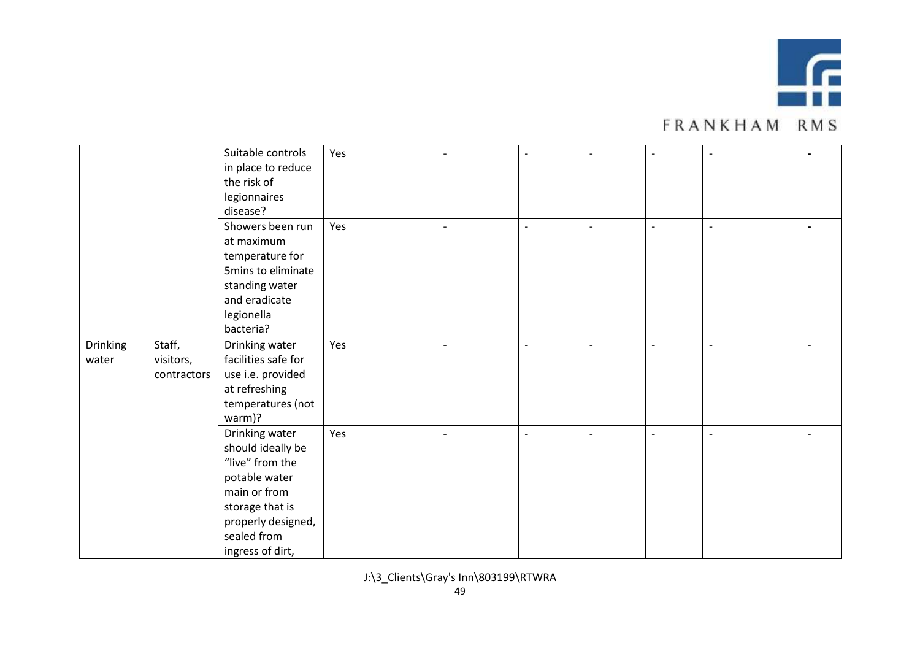

|          |             | Suitable controls   | Yes |                          | $\overline{\phantom{a}}$ | $\overline{\phantom{a}}$ |  |
|----------|-------------|---------------------|-----|--------------------------|--------------------------|--------------------------|--|
|          |             | in place to reduce  |     |                          |                          |                          |  |
|          |             | the risk of         |     |                          |                          |                          |  |
|          |             | legionnaires        |     |                          |                          |                          |  |
|          |             | disease?            |     |                          |                          |                          |  |
|          |             |                     |     |                          |                          |                          |  |
|          |             | Showers been run    | Yes | $\overline{\phantom{a}}$ | $\overline{\phantom{a}}$ | $\overline{\phantom{a}}$ |  |
|          |             | at maximum          |     |                          |                          |                          |  |
|          |             | temperature for     |     |                          |                          |                          |  |
|          |             | 5mins to eliminate  |     |                          |                          |                          |  |
|          |             | standing water      |     |                          |                          |                          |  |
|          |             | and eradicate       |     |                          |                          |                          |  |
|          |             | legionella          |     |                          |                          |                          |  |
|          |             | bacteria?           |     |                          |                          |                          |  |
| Drinking | Staff,      | Drinking water      | Yes |                          | $\overline{\phantom{a}}$ | $\overline{\phantom{a}}$ |  |
| water    | visitors,   | facilities safe for |     |                          |                          |                          |  |
|          | contractors | use i.e. provided   |     |                          |                          |                          |  |
|          |             | at refreshing       |     |                          |                          |                          |  |
|          |             | temperatures (not   |     |                          |                          |                          |  |
|          |             | warm)?              |     |                          |                          |                          |  |
|          |             | Drinking water      | Yes | $\overline{\phantom{a}}$ | $\overline{\phantom{a}}$ | $\overline{\phantom{a}}$ |  |
|          |             | should ideally be   |     |                          |                          |                          |  |
|          |             | "live" from the     |     |                          |                          |                          |  |
|          |             | potable water       |     |                          |                          |                          |  |
|          |             | main or from        |     |                          |                          |                          |  |
|          |             |                     |     |                          |                          |                          |  |
|          |             | storage that is     |     |                          |                          |                          |  |
|          |             | properly designed,  |     |                          |                          |                          |  |
|          |             | sealed from         |     |                          |                          |                          |  |
|          |             | ingress of dirt,    |     |                          |                          |                          |  |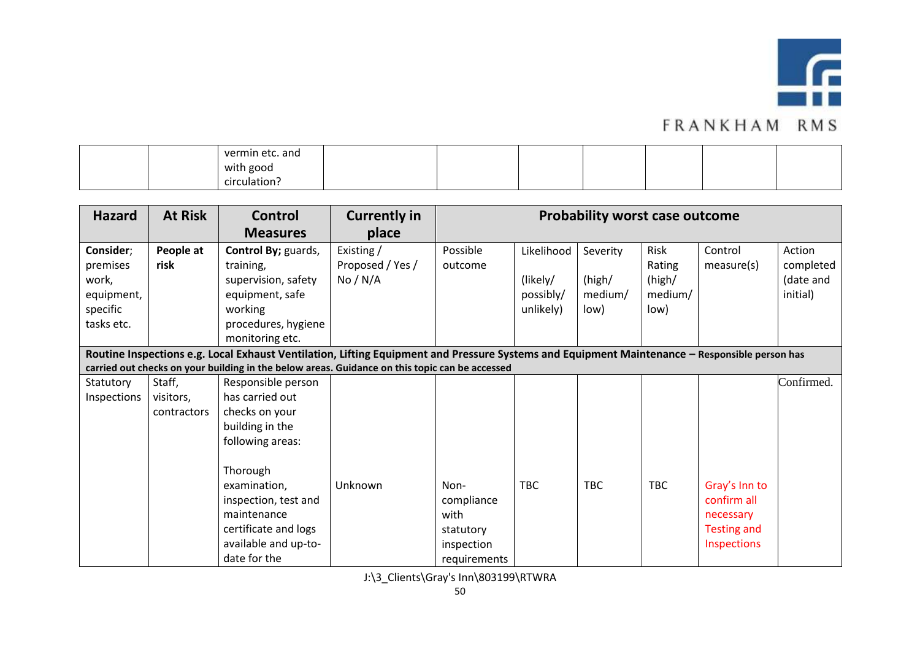

|  | vermin etc. and |  |  |  |  |
|--|-----------------|--|--|--|--|
|  | with good       |  |  |  |  |
|  | circulation     |  |  |  |  |

| <b>Hazard</b> | <b>At Risk</b>                                                                                                                                | <b>Control</b>                                                                                 | <b>Currently in</b> | <b>Probability worst case outcome</b> |            |            |            |                    |            |
|---------------|-----------------------------------------------------------------------------------------------------------------------------------------------|------------------------------------------------------------------------------------------------|---------------------|---------------------------------------|------------|------------|------------|--------------------|------------|
|               |                                                                                                                                               | <b>Measures</b>                                                                                | place               |                                       |            |            |            |                    |            |
| Consider;     | People at                                                                                                                                     | Control By; guards,                                                                            | Existing /          | Possible                              | Likelihood | Severity   | Risk       | Control            | Action     |
| premises      | risk                                                                                                                                          | training,                                                                                      | Proposed / Yes /    | outcome                               |            |            | Rating     | measure(s)         | completed  |
| work,         |                                                                                                                                               | supervision, safety                                                                            | No / N/A            |                                       | (likely/   | (high/     | (high/     |                    | (date and  |
| equipment,    |                                                                                                                                               | equipment, safe                                                                                |                     |                                       | possibly/  | medium/    | medium/    |                    | initial)   |
| specific      |                                                                                                                                               | working                                                                                        |                     |                                       | unlikely)  | low)       | low)       |                    |            |
| tasks etc.    |                                                                                                                                               | procedures, hygiene                                                                            |                     |                                       |            |            |            |                    |            |
|               |                                                                                                                                               | monitoring etc.                                                                                |                     |                                       |            |            |            |                    |            |
|               | Routine Inspections e.g. Local Exhaust Ventilation, Lifting Equipment and Pressure Systems and Equipment Maintenance - Responsible person has |                                                                                                |                     |                                       |            |            |            |                    |            |
|               |                                                                                                                                               | carried out checks on your building in the below areas. Guidance on this topic can be accessed |                     |                                       |            |            |            |                    |            |
| Statutory     | Staff,                                                                                                                                        | Responsible person                                                                             |                     |                                       |            |            |            |                    | Confirmed. |
| Inspections   | visitors,                                                                                                                                     | has carried out                                                                                |                     |                                       |            |            |            |                    |            |
|               | contractors                                                                                                                                   | checks on your                                                                                 |                     |                                       |            |            |            |                    |            |
|               |                                                                                                                                               | building in the                                                                                |                     |                                       |            |            |            |                    |            |
|               |                                                                                                                                               | following areas:                                                                               |                     |                                       |            |            |            |                    |            |
|               |                                                                                                                                               |                                                                                                |                     |                                       |            |            |            |                    |            |
|               |                                                                                                                                               | Thorough                                                                                       |                     |                                       |            |            |            |                    |            |
|               |                                                                                                                                               | examination,                                                                                   | Unknown             | Non-                                  | <b>TBC</b> | <b>TBC</b> | <b>TBC</b> | Gray's Inn to      |            |
|               |                                                                                                                                               | inspection, test and                                                                           |                     | compliance                            |            |            |            | confirm all        |            |
|               |                                                                                                                                               | maintenance                                                                                    |                     | with                                  |            |            |            | necessary          |            |
|               |                                                                                                                                               | certificate and logs                                                                           |                     | statutory                             |            |            |            | <b>Testing and</b> |            |
|               |                                                                                                                                               | available and up-to-                                                                           |                     | inspection                            |            |            |            | Inspections        |            |
|               |                                                                                                                                               | date for the                                                                                   |                     | requirements                          |            |            |            |                    |            |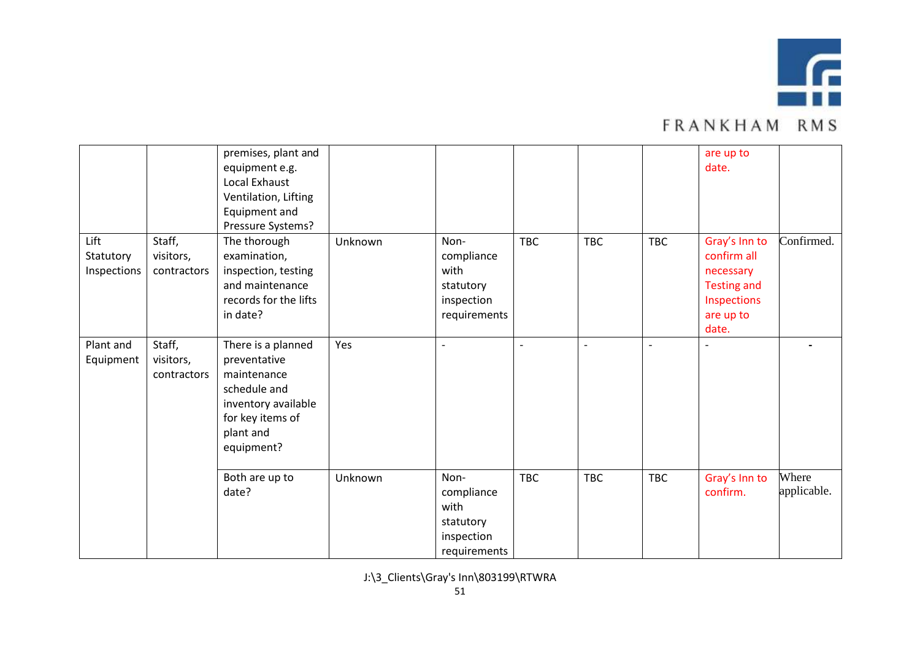

|                                  |                                    | premises, plant and<br>equipment e.g.<br>Local Exhaust<br>Ventilation, Lifting<br>Equipment and<br>Pressure Systems?                    |         |                                                                       |                          |            |                | are up to<br>date.                                                                                   |                      |
|----------------------------------|------------------------------------|-----------------------------------------------------------------------------------------------------------------------------------------|---------|-----------------------------------------------------------------------|--------------------------|------------|----------------|------------------------------------------------------------------------------------------------------|----------------------|
| Lift<br>Statutory<br>Inspections | Staff,<br>visitors,<br>contractors | The thorough<br>examination,<br>inspection, testing<br>and maintenance<br>records for the lifts<br>in date?                             | Unknown | Non-<br>compliance<br>with<br>statutory<br>inspection<br>requirements | <b>TBC</b>               | <b>TBC</b> | <b>TBC</b>     | Gray's Inn to<br>confirm all<br>necessary<br><b>Testing and</b><br>Inspections<br>are up to<br>date. | Confirmed.           |
| Plant and<br>Equipment           | Staff,<br>visitors,<br>contractors | There is a planned<br>preventative<br>maintenance<br>schedule and<br>inventory available<br>for key items of<br>plant and<br>equipment? | Yes     | $\overline{\phantom{a}}$                                              | $\overline{\phantom{a}}$ |            | $\overline{a}$ | $\overline{\phantom{a}}$                                                                             |                      |
|                                  |                                    | Both are up to<br>date?                                                                                                                 | Unknown | Non-<br>compliance<br>with<br>statutory<br>inspection<br>requirements | <b>TBC</b>               | <b>TBC</b> | <b>TBC</b>     | Gray's Inn to<br>confirm.                                                                            | Where<br>applicable. |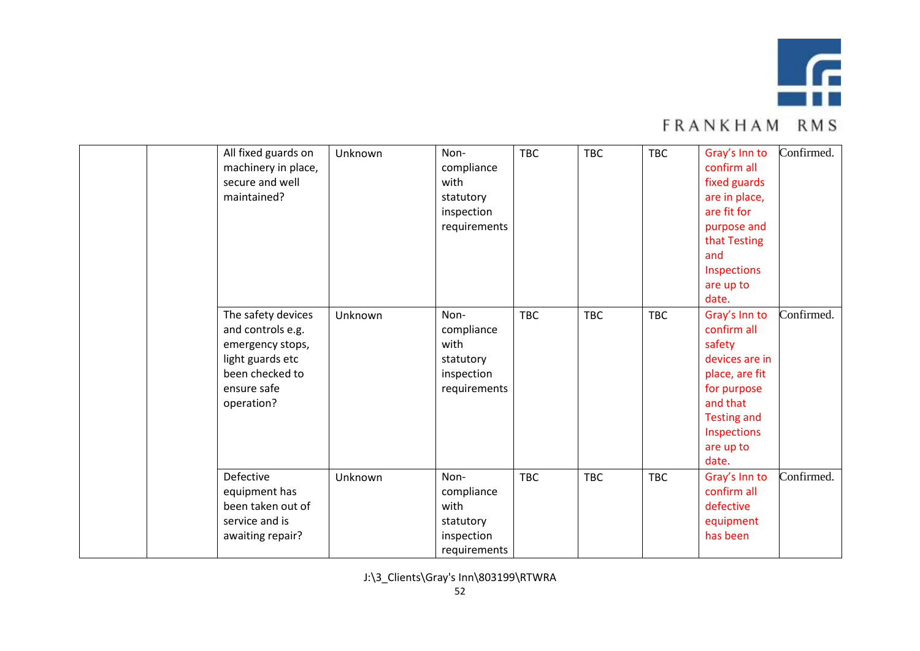

|  | All fixed guards on<br>machinery in place,<br>secure and well<br>maintained? | Unknown                                                                                                                         | Non-<br>compliance<br>with<br>statutory<br>inspection<br>requirements | <b>TBC</b>                                                            | <b>TBC</b> | <b>TBC</b> | Gray's Inn to<br>confirm all<br>fixed guards<br>are in place,<br>are fit for<br>purpose and<br>that Testing<br>and<br>Inspections<br>are up to<br>date. | Confirmed.                                                                                                                                                       |            |
|--|------------------------------------------------------------------------------|---------------------------------------------------------------------------------------------------------------------------------|-----------------------------------------------------------------------|-----------------------------------------------------------------------|------------|------------|---------------------------------------------------------------------------------------------------------------------------------------------------------|------------------------------------------------------------------------------------------------------------------------------------------------------------------|------------|
|  |                                                                              | The safety devices<br>and controls e.g.<br>emergency stops,<br>light guards etc<br>been checked to<br>ensure safe<br>operation? | Unknown                                                               | Non-<br>compliance<br>with<br>statutory<br>inspection<br>requirements | <b>TBC</b> | <b>TBC</b> | <b>TBC</b>                                                                                                                                              | Gray's Inn to<br>confirm all<br>safety<br>devices are in<br>place, are fit<br>for purpose<br>and that<br><b>Testing and</b><br>Inspections<br>are up to<br>date. | Confirmed. |
|  |                                                                              | Defective<br>equipment has<br>been taken out of<br>service and is<br>awaiting repair?                                           | Unknown                                                               | Non-<br>compliance<br>with<br>statutory<br>inspection<br>requirements | <b>TBC</b> | <b>TBC</b> | <b>TBC</b>                                                                                                                                              | Gray's Inn to<br>confirm all<br>defective<br>equipment<br>has been                                                                                               | Confirmed. |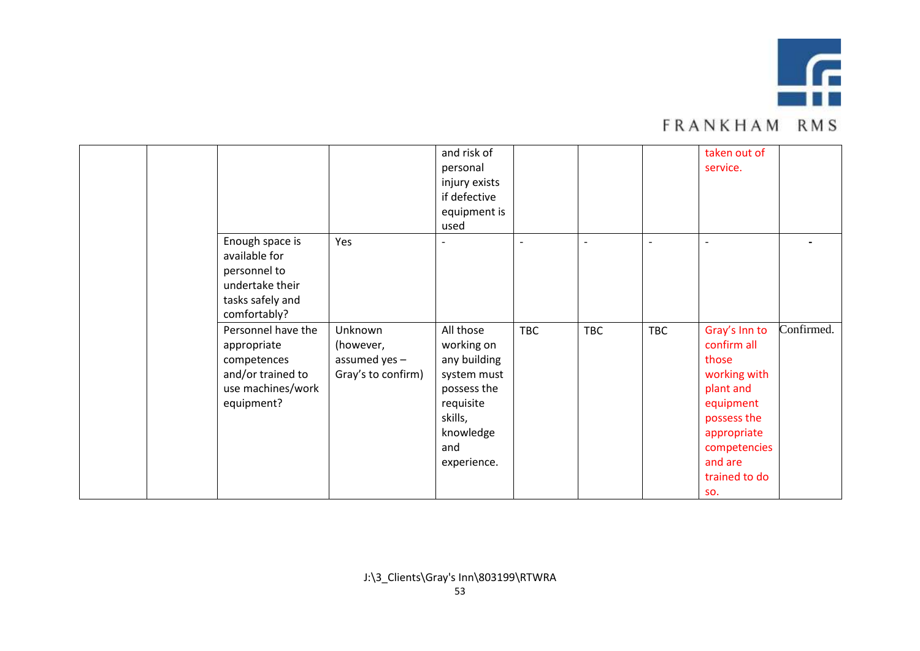

|  |                    |                    | and risk of   |                |                          |                          | taken out of             |            |
|--|--------------------|--------------------|---------------|----------------|--------------------------|--------------------------|--------------------------|------------|
|  |                    |                    | personal      |                |                          |                          | service.                 |            |
|  |                    |                    | injury exists |                |                          |                          |                          |            |
|  |                    |                    | if defective  |                |                          |                          |                          |            |
|  |                    |                    | equipment is  |                |                          |                          |                          |            |
|  |                    |                    | used          |                |                          |                          |                          |            |
|  | Enough space is    | Yes                |               | $\overline{a}$ | $\overline{\phantom{a}}$ | $\overline{\phantom{a}}$ | $\overline{\phantom{a}}$ |            |
|  | available for      |                    |               |                |                          |                          |                          |            |
|  | personnel to       |                    |               |                |                          |                          |                          |            |
|  | undertake their    |                    |               |                |                          |                          |                          |            |
|  | tasks safely and   |                    |               |                |                          |                          |                          |            |
|  | comfortably?       |                    |               |                |                          |                          |                          |            |
|  | Personnel have the | Unknown            | All those     | TBC            | <b>TBC</b>               | <b>TBC</b>               | Gray's Inn to            | Confirmed. |
|  | appropriate        | (however,          | working on    |                |                          |                          | confirm all              |            |
|  | competences        | assumed yes -      | any building  |                |                          |                          | those                    |            |
|  | and/or trained to  | Gray's to confirm) | system must   |                |                          |                          | working with             |            |
|  | use machines/work  |                    | possess the   |                |                          |                          | plant and                |            |
|  | equipment?         |                    | requisite     |                |                          |                          | equipment                |            |
|  |                    |                    | skills,       |                |                          |                          | possess the              |            |
|  |                    |                    | knowledge     |                |                          |                          | appropriate              |            |
|  |                    |                    | and           |                |                          |                          | competencies             |            |
|  |                    |                    | experience.   |                |                          |                          | and are                  |            |
|  |                    |                    |               |                |                          |                          | trained to do            |            |
|  |                    |                    |               |                |                          |                          | SO.                      |            |
|  |                    |                    |               |                |                          |                          |                          |            |